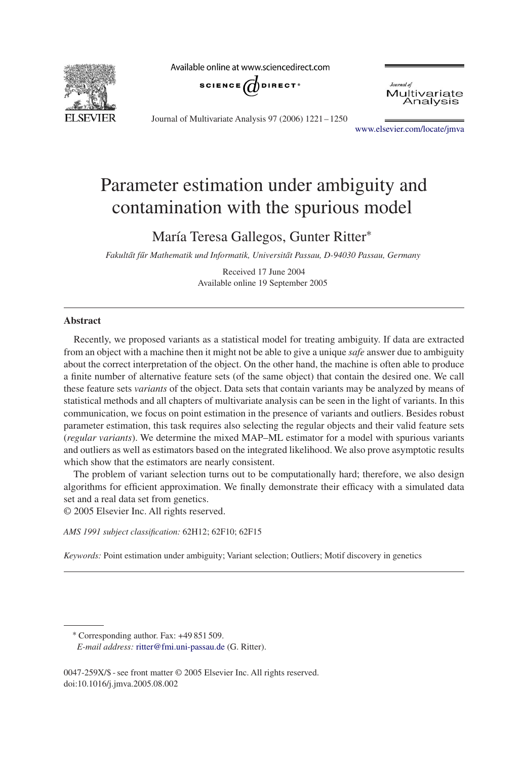**FI SEVIER** 

Available online at www.sciencedirect.com





Journal of Multivariate Analysis 97 (2006) 1221 – 1250

[www.elsevier.com/locate/jmva](http://www.elsevier.com/locate/jmva)

# Parameter estimation under ambiguity and contamination with the spurious model

María Teresa Gallegos, Gunter Ritter<sup>∗</sup>

Fakultát fűr Mathematik und Informatik, Universitát Passau, D-94030 Passau, Germany

Received 17 June 2004 Available online 19 September 2005

#### **Abstract**

Recently, we proposed variants as a statistical model for treating ambiguity. If data are extracted from an object with a machine then it might not be able to give a unique *safe* answer due to ambiguity about the correct interpretation of the object. On the other hand, the machine is often able to produce a finite number of alternative feature sets (of the same object) that contain the desired one. We call these feature sets *variants* of the object. Data sets that contain variants may be analyzed by means of statistical methods and all chapters of multivariate analysis can be seen in the light of variants. In this communication, we focus on point estimation in the presence of variants and outliers. Besides robust parameter estimation, this task requires also selecting the regular objects and their valid feature sets (*regular variants*). We determine the mixed MAP–ML estimator for a model with spurious variants and outliers as well as estimators based on the integrated likelihood. We also prove asymptotic results which show that the estimators are nearly consistent.

The problem of variant selection turns out to be computationally hard; therefore, we also design algorithms for efficient approximation. We finally demonstrate their efficacy with a simulated data set and a real data set from genetics.

© 2005 Elsevier Inc. All rights reserved.

*AMS 1991 subject classification:* 62H12; 62F10; 62F15

*Keywords:* Point estimation under ambiguity; Variant selection; Outliers; Motif discovery in genetics

<sup>∗</sup> Corresponding author. Fax: +49 851 509.

*E-mail address:* [ritter@fmi.uni-passau.de](mailto:ritter@fmi.uni-passau.de) (G. Ritter).

<sup>0047-259</sup>X/\$ - see front matter © 2005 Elsevier Inc. All rights reserved. doi:10.1016/j.jmva.2005.08.002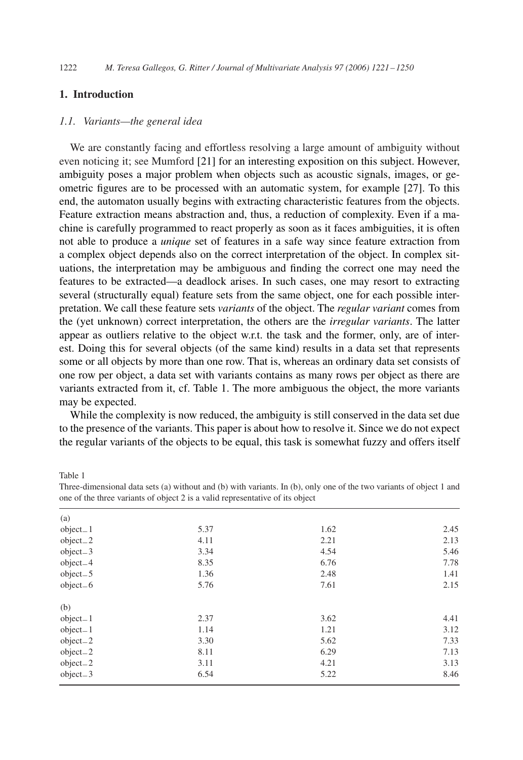## <span id="page-1-0"></span>**1. Introduction**

#### *1.1. Variants—the general idea*

We are constantly facing and effortless resolving a large amount of ambiguity without even noticing it; see Mumford [\[21\]](#page-29-0) for an interesting exposition on this subject. However, ambiguity poses a major problem when objects such as acoustic signals, images, or geometric figures are to be processed with an automatic system, for example [\[27\].](#page-29-0) To this end, the automaton usually begins with extracting characteristic features from the objects. Feature extraction means abstraction and, thus, a reduction of complexity. Even if a machine is carefully programmed to react properly as soon as it faces ambiguities, it is often not able to produce a *unique* set of features in a safe way since feature extraction from a complex object depends also on the correct interpretation of the object. In complex situations, the interpretation may be ambiguous and finding the correct one may need the features to be extracted—a deadlock arises. In such cases, one may resort to extracting several (structurally equal) feature sets from the same object, one for each possible interpretation. We call these feature sets *variants* of the object. The *regular variant* comes from the (yet unknown) correct interpretation, the others are the *irregular variants*. The latter appear as outliers relative to the object w.r.t. the task and the former, only, are of interest. Doing this for several objects (of the same kind) results in a data set that represents some or all objects by more than one row. That is, whereas an ordinary data set consists of one row per object, a data set with variants contains as many rows per object as there are variants extracted from it, cf. Table 1. The more ambiguous the object, the more variants may be expected.

While the complexity is now reduced, the ambiguity is still conserved in the data set due to the presence of the variants. This paper is about how to resolve it. Since we do not expect the regular variants of the objects to be equal, this task is somewhat fuzzy and offers itself

Table 1

Three-dimensional data sets (a) without and (b) with variants. In (b), only one of the two variants of object 1 and one of the three variants of object 2 is a valid representative of its object

| (a)          |      |      |      |
|--------------|------|------|------|
| $object = 1$ | 5.37 | 1.62 | 2.45 |
| $object_2$   | 4.11 | 2.21 | 2.13 |
| $object_3$   | 3.34 | 4.54 | 5.46 |
| $object_4$   | 8.35 | 6.76 | 7.78 |
| $object = 5$ | 1.36 | 2.48 | 1.41 |
| $object_6$   | 5.76 | 7.61 | 2.15 |
| (b)          |      |      |      |
| $object = 1$ | 2.37 | 3.62 | 4.41 |
| $object_1$   | 1.14 | 1.21 | 3.12 |
| $object_2$   | 3.30 | 5.62 | 7.33 |
| $object_2$   | 8.11 | 6.29 | 7.13 |
| $object_2$   | 3.11 | 4.21 | 3.13 |
| $object_3$   | 6.54 | 5.22 | 8.46 |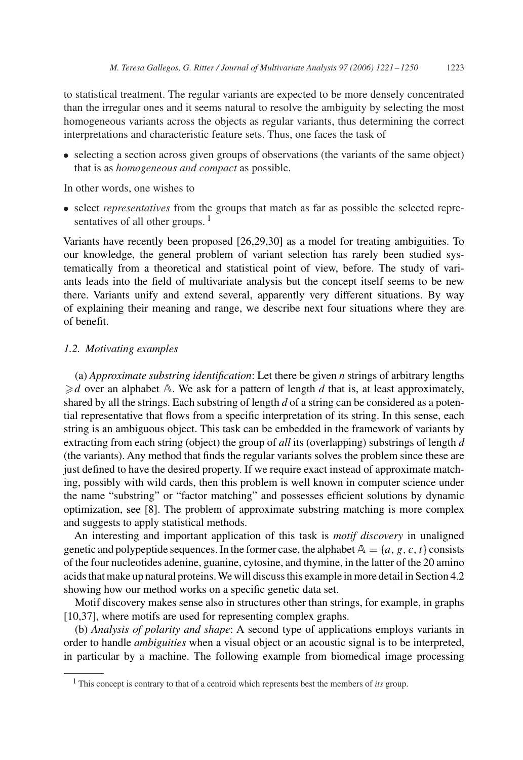to statistical treatment. The regular variants are expected to be more densely concentrated than the irregular ones and it seems natural to resolve the ambiguity by selecting the most homogeneous variants across the objects as regular variants, thus determining the correct interpretations and characteristic feature sets. Thus, one faces the task of

• selecting a section across given groups of observations (the variants of the same object) that is as *homogeneous and compact* as possible.

In other words, one wishes to

• select *representatives* from the groups that match as far as possible the selected representatives of all other groups.<sup>1</sup>

Variants have recently been proposed [\[26,29,30\]](#page-29-0) as a model for treating ambiguities. To our knowledge, the general problem of variant selection has rarely been studied systematically from a theoretical and statistical point of view, before. The study of variants leads into the field of multivariate analysis but the concept itself seems to be new there. Variants unify and extend several, apparently very different situations. By way of explaining their meaning and range, we describe next four situations where they are of benefit.

#### *1.2. Motivating examples*

(a) *Approximate substring identification*: Let there be given *n* strings of arbitrary lengths  $\geq d$  over an alphabet A. We ask for a pattern of length *d* that is, at least approximately, shared by all the strings. Each substring of length *d* of a string can be considered as a potential representative that flows from a specific interpretation of its string. In this sense, each string is an ambiguous object. This task can be embedded in the framework of variants by extracting from each string (object) the group of *all* its (overlapping) substrings of length *d* (the variants). Any method that finds the regular variants solves the problem since these are just defined to have the desired property. If we require exact instead of approximate matching, possibly with wild cards, then this problem is well known in computer science under the name "substring" or "factor matching" and possesses efficient solutions by dynamic optimization, see [\[8\].](#page-28-0) The problem of approximate substring matching is more complex and suggests to apply statistical methods.

An interesting and important application of this task is *motif discovery* in unaligned genetic and polypeptide sequences. In the former case, the alphabet  $A = \{a, g, c, t\}$  consists of the four nucleotides adenine, guanine, cytosine, and thymine, in the latter of the 20 amino acids that make up natural proteins.We will discuss this example in more detail in Section [4.2](#page-19-0) showing how our method works on a specific genetic data set.

Motif discovery makes sense also in structures other than strings, for example, in graphs [\[10](#page-28-0)[,37\],](#page-29-0) where motifs are used for representing complex graphs.

(b) *Analysis of polarity and shape*: A second type of applications employs variants in order to handle *ambiguities* when a visual object or an acoustic signal is to be interpreted, in particular by a machine. The following example from biomedical image processing

<sup>1</sup> This concept is contrary to that of a centroid which represents best the members of *its* group.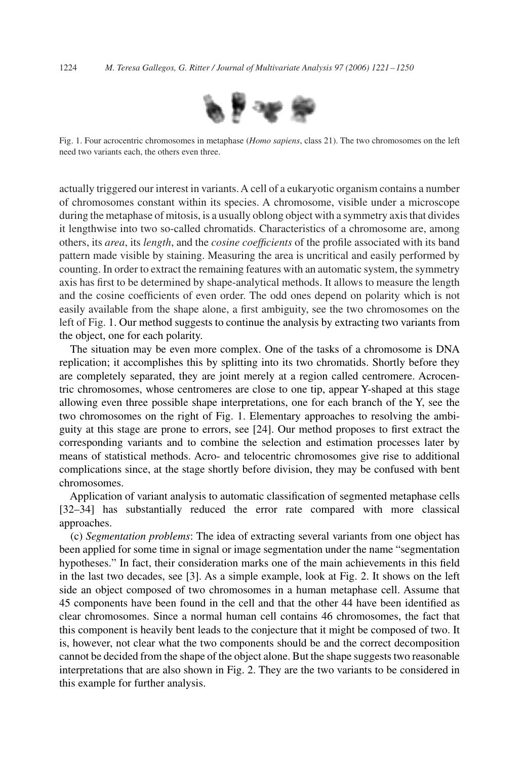

Fig. 1. Four acrocentric chromosomes in metaphase (*Homo sapiens*, class 21). The two chromosomes on the left need two variants each, the others even three.

actually triggered our interest in variants. A cell of a eukaryotic organism contains a number of chromosomes constant within its species. A chromosome, visible under a microscope during the metaphase of mitosis, is a usually oblong object with a symmetry axis that divides it lengthwise into two so-called chromatids. Characteristics of a chromosome are, among others, its *area*, its *length*, and the *cosine coefficients* of the profile associated with its band pattern made visible by staining. Measuring the area is uncritical and easily performed by counting. In order to extract the remaining features with an automatic system, the symmetry axis has first to be determined by shape-analytical methods. It allows to measure the length and the cosine coefficients of even order. The odd ones depend on polarity which is not easily available from the shape alone, a first ambiguity, see the two chromosomes on the left of Fig. 1. Our method suggests to continue the analysis by extracting two variants from the object, one for each polarity.

The situation may be even more complex. One of the tasks of a chromosome is DNA replication; it accomplishes this by splitting into its two chromatids. Shortly before they are completely separated, they are joint merely at a region called centromere. Acrocentric chromosomes, whose centromeres are close to one tip, appear Y-shaped at this stage allowing even three possible shape interpretations, one for each branch of the Y, see the two chromosomes on the right of Fig. 1. Elementary approaches to resolving the ambiguity at this stage are prone to errors, see [\[24\].](#page-29-0) Our method proposes to first extract the corresponding variants and to combine the selection and estimation processes later by means of statistical methods. Acro- and telocentric chromosomes give rise to additional complications since, at the stage shortly before division, they may be confused with bent chromosomes.

Application of variant analysis to automatic classification of segmented metaphase cells [\[32–34\]](#page-29-0) has substantially reduced the error rate compared with more classical approaches.

(c) *Segmentation problems*: The idea of extracting several variants from one object has been applied for some time in signal or image segmentation under the name "segmentation hypotheses." In fact, their consideration marks one of the main achievements in this field in the last two decades, see [\[3\].](#page-28-0) As a simple example, look at Fig. [2.](#page-4-0) It shows on the left side an object composed of two chromosomes in a human metaphase cell. Assume that 45 components have been found in the cell and that the other 44 have been identified as clear chromosomes. Since a normal human cell contains 46 chromosomes, the fact that this component is heavily bent leads to the conjecture that it might be composed of two. It is, however, not clear what the two components should be and the correct decomposition cannot be decided from the shape of the object alone. But the shape suggests two reasonable interpretations that are also shown in Fig. [2.](#page-4-0) They are the two variants to be considered in this example for further analysis.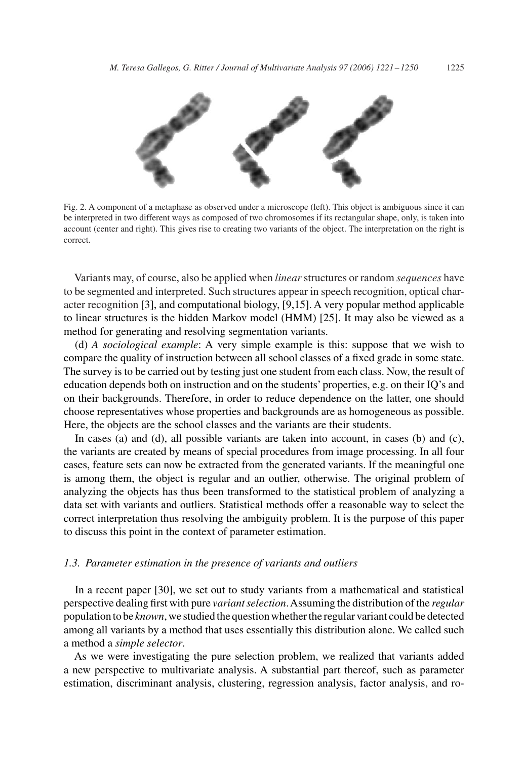<span id="page-4-0"></span>

Fig. 2. A component of a metaphase as observed under a microscope (left). This object is ambiguous since it can be interpreted in two different ways as composed of two chromosomes if its rectangular shape, only, is taken into account (center and right). This gives rise to creating two variants of the object. The interpretation on the right is correct.

Variants may, of course, also be applied when *linear*structures or random *sequences* have to be segmented and interpreted. Such structures appear in speech recognition, optical character recognition [\[3\],](#page-28-0) and computational biology, [\[9,15\].](#page-28-0) A very popular method applicable to linear structures is the hidden Markov model (HMM) [\[25\].](#page-29-0) It may also be viewed as a method for generating and resolving segmentation variants.

(d) *A sociological example*: A very simple example is this: suppose that we wish to compare the quality of instruction between all school classes of a fixed grade in some state. The survey is to be carried out by testing just one student from each class. Now, the result of education depends both on instruction and on the students' properties, e.g. on their IQ's and on their backgrounds. Therefore, in order to reduce dependence on the latter, one should choose representatives whose properties and backgrounds are as homogeneous as possible. Here, the objects are the school classes and the variants are their students.

In cases (a) and (d), all possible variants are taken into account, in cases (b) and (c), the variants are created by means of special procedures from image processing. In all four cases, feature sets can now be extracted from the generated variants. If the meaningful one is among them, the object is regular and an outlier, otherwise. The original problem of analyzing the objects has thus been transformed to the statistical problem of analyzing a data set with variants and outliers. Statistical methods offer a reasonable way to select the correct interpretation thus resolving the ambiguity problem. It is the purpose of this paper to discuss this point in the context of parameter estimation.

#### *1.3. Parameter estimation in the presence of variants and outliers*

In a recent paper [\[30\],](#page-29-0) we set out to study variants from a mathematical and statistical perspective dealing first with pure *variant selection*.Assuming the distribution of the *regular* population to be *known*, we studied the question whether the regular variant could be detected among all variants by a method that uses essentially this distribution alone. We called such a method a *simple selector*.

As we were investigating the pure selection problem, we realized that variants added a new perspective to multivariate analysis. A substantial part thereof, such as parameter estimation, discriminant analysis, clustering, regression analysis, factor analysis, and ro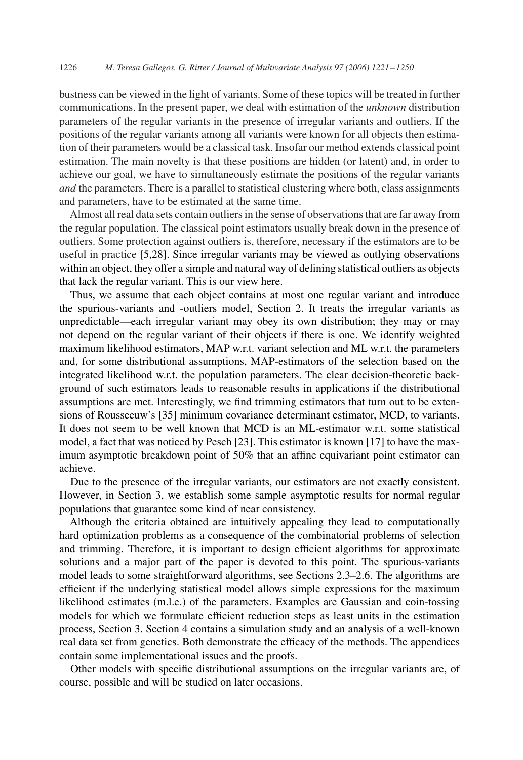bustness can be viewed in the light of variants. Some of these topics will be treated in further communications. In the present paper, we deal with estimation of the *unknown* distribution parameters of the regular variants in the presence of irregular variants and outliers. If the positions of the regular variants among all variants were known for all objects then estimation of their parameters would be a classical task. Insofar our method extends classical point estimation. The main novelty is that these positions are hidden (or latent) and, in order to achieve our goal, we have to simultaneously estimate the positions of the regular variants *and* the parameters. There is a parallel to statistical clustering where both, class assignments and parameters, have to be estimated at the same time.

Almost all real data sets contain outliers in the sense of observations that are far away from the regular population. The classical point estimators usually break down in the presence of outliers. Some protection against outliers is, therefore, necessary if the estimators are to be useful in practice [\[5](#page-28-0)[,28\].](#page-29-0) Since irregular variants may be viewed as outlying observations within an object, they offer a simple and natural way of defining statistical outliers as objects that lack the regular variant. This is our view here.

Thus, we assume that each object contains at most one regular variant and introduce the spurious-variants and -outliers model, Section [2.](#page-6-0) It treats the irregular variants as unpredictable—each irregular variant may obey its own distribution; they may or may not depend on the regular variant of their objects if there is one. We identify weighted maximum likelihood estimators, MAP w.r.t. variant selection and ML w.r.t. the parameters and, for some distributional assumptions, MAP-estimators of the selection based on the integrated likelihood w.r.t. the population parameters. The clear decision-theoretic background of such estimators leads to reasonable results in applications if the distributional assumptions are met. Interestingly, we find trimming estimators that turn out to be extensions of Rousseeuw's [\[35\]](#page-29-0) minimum covariance determinant estimator, MCD, to variants. It does not seem to be well known that MCD is an ML-estimator w.r.t. some statistical model, a fact that was noticed by Pesch [\[23\].](#page-29-0) This estimator is known [\[17\]](#page-29-0) to have the maximum asymptotic breakdown point of 50% that an affine equivariant point estimator can achieve.

Due to the presence of the irregular variants, our estimators are not exactly consistent. However, in Section [3,](#page-13-0) we establish some sample asymptotic results for normal regular populations that guarantee some kind of near consistency.

Although the criteria obtained are intuitively appealing they lead to computationally hard optimization problems as a consequence of the combinatorial problems of selection and trimming. Therefore, it is important to design efficient algorithms for approximate solutions and a major part of the paper is devoted to this point. The spurious-variants model leads to some straightforward algorithms, see Sections [2.3–](#page-10-0)[2.6.](#page-12-0) The algorithms are efficient if the underlying statistical model allows simple expressions for the maximum likelihood estimates (m.l.e.) of the parameters. Examples are Gaussian and coin-tossing models for which we formulate efficient reduction steps as least units in the estimation process, Section [3.](#page-13-0) Section [4](#page-19-0) contains a simulation study and an analysis of a well-known real data set from genetics. Both demonstrate the efficacy of the methods. The appendices contain some implementational issues and the proofs.

Other models with specific distributional assumptions on the irregular variants are, of course, possible and will be studied on later occasions.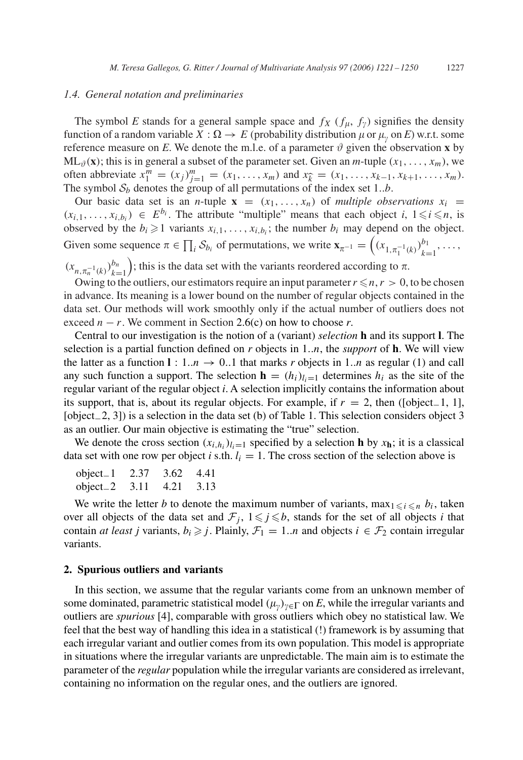#### <span id="page-6-0"></span>*1.4. General notation and preliminaries*

The symbol *E* stands for a general sample space and  $f_X(f_\mu, f_\gamma)$  signifies the density function of a random variable  $X : \Omega \to E$  (probability distribution  $\mu$  or  $\mu_\gamma$  on *E*) w.r.t. some reference measure on *E*. We denote the m.l.e. of a parameter  $\vartheta$  given the observation **x** by  $ML_{\vartheta}(\mathbf{x})$ ; this is in general a subset of the parameter set. Given an *m*-tuple  $(x_1, \ldots, x_m)$ , we often abbreviate  $x_1^m = (x_j)_{j=1}^m = (x_1, \ldots, x_m)$  and  $x_k^2 = (x_1, \ldots, x_{k-1}, x_{k+1}, \ldots, x_m)$ .<br>The symbol *S<sub>t</sub>* denotes the group of all permutations of the index set 1, *b* The symbol  $S_b$  denotes the group of all permutations of the index set 1..*b*.

Our basic data set is an *n*-tuple  $\mathbf{x} = (x_1, \ldots, x_n)$  of *multiple observations*  $x_i =$  $(x_{i,1},...,x_{i,b_i}) \in E^{b_i}$ . The attribute "multiple" means that each object *i*,  $1 \leq i \leq n$ , is observed by the  $b_i \geq 1$  variants  $x_{i,1}, \ldots, x_{i,b_i}$ ; the number  $b_i$  may depend on the object. Given some sequence  $\pi \in \prod_i \mathcal{S}_{b_i}$  of permutations, we write  $\mathbf{x}_{\pi^{-1}} = \left( (x_{1,\pi_1^{-1}(k)})_{k=1}^{b_1} \right)$  $\sum_{k=1}^{b_1}, \ldots,$ 

 $(x_{n, π_n^{-1}(k)})_{k=0}^{b_n}$ *k*=1 ); this is the data set with the variants reordered according to  $\pi$ .

Owing to the outliers, our estimators require an input parameter  $r \le n, r > 0$ , to be chosen in advance. Its meaning is a lower bound on the number of regular objects contained in the data set. Our methods will work smoothly only if the actual number of outliers does not exceed  $n - r$ . We comment in Section [2.6\(](#page-12-0)c) on how to choose *r*.

Central to our investigation is the notion of a (variant) *selection* **h** and its support **l**. The selection is a partial function defined on *r* objects in 1*..n*, the *support* of **h**. We will view the latter as a function **l** :  $1 \cdot n \rightarrow 0 \cdot 1$  that marks *r* objects in 1..*n* as regular (1) and call any such function a support. The selection  $\mathbf{h} = (h_i)_{i=1}$  determines  $h_i$  as the site of the regular variant of the regular object *i*. A selection implicitly contains the information about its support, that is, about its regular objects. For example, if  $r = 2$ , then ([object\_1, 1], [object−2, 3]) is a selection in the data set (b) of Table [1.](#page-1-0) This selection considers object 3 as an outlier. Our main objective is estimating the "true" selection.

We denote the cross section  $(x_{i,h_i})_{i=1}$  specified by a selection **h** by  $x_h$ ; it is a classical data set with one row per object *i* s.th.  $l_i = 1$ . The cross section of the selection above is

object−1 2.37 3.62 4.41 object−2 3.11 4.21 3.13

We write the letter *b* to denote the maximum number of variants,  $\max_{1 \leq i \leq n} b_i$ , taken over all objects of the data set and  $\mathcal{F}_j$ ,  $1 \leq j \leq b$ , stands for the set of all objects *i* that contain *at least j* variants,  $b_i \geq j$ . Plainly,  $\mathcal{F}_1 = 1 \dots n$  and objects  $i \in \mathcal{F}_2$  contain irregular variants.

## **2. Spurious outliers and variants**

In this section, we assume that the regular variants come from an unknown member of some dominated, parametric statistical model  $(\mu_\gamma)_{\gamma \in \Gamma}$  on *E*, while the irregular variants and outliers are *spurious* [\[4\],](#page-28-0) comparable with gross outliers which obey no statistical law. We feel that the best way of handling this idea in a statistical (!) framework is by assuming that each irregular variant and outlier comes from its own population. This model is appropriate in situations where the irregular variants are unpredictable. The main aim is to estimate the parameter of the *regular* population while the irregular variants are considered as irrelevant, containing no information on the regular ones, and the outliers are ignored.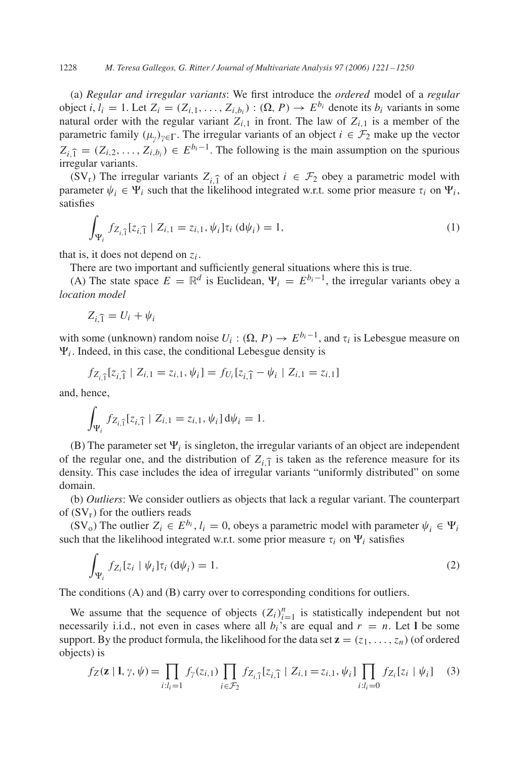<span id="page-7-0"></span>(a) *Regular and irregular variants*: We first introduce the *ordered* model of a *regular* object *i*,  $l_i = 1$ . Let  $Z_i = (Z_{i,1}, \ldots, Z_{i,b_i}) : (\Omega, P) \to E^{b_i}$  denote its  $b_i$  variants in some natural order with the regular variant  $Z_{i,1}$  in front. The law of  $Z_{i,1}$  is a member of the parametric family  $(\mu_\gamma)_{\gamma \in \Gamma}$ . The irregular variants of an object  $i \in \mathcal{F}_2$  make up the vector  $Z_i$ ,  $\hat{I} = (Z_{i,2}, \ldots, Z_{i,b_i}) \in E^{b_i-1}$ . The following is the main assumption on the spurious irregular variants.

(SV<sub>r</sub>) The irregular variants  $Z_{i,\hat{1}}$  of an object  $i \in \mathcal{F}_2$  obey a parametric model with parameter  $\psi_i \in \Psi_i$  such that the likelihood integrated w.r.t. some prior measure  $\tau_i$  on  $\Psi_i$ , satisfies

$$
\int_{\Psi_i} f_{Z_{i,\hat{1}}} [z_{i,\hat{1}} | Z_{i,1} = z_{i,1}, \psi_i] \tau_i (d\psi_i) = 1,
$$
\n(1)

that is, it does not depend on *zi*.

There are two important and sufficiently general situations where this is true.

(A) The state space  $E = \mathbb{R}^d$  is Euclidean,  $\Psi_i = E^{b_i-1}$ , the irregular variants obey a *location model*

 $Z_i \hat{I} = U_i + \psi_i$ 

with some (unknown) random noise  $U_i : (\Omega, P) \to E^{b_i-1}$ , and  $\tau_i$  is Lebesgue measure on  $\Psi_i$ . Indeed, in this case, the conditional Lebesgue density is

$$
f_{Z_{i,\widehat{1}}} [z_{i,\widehat{1}} | Z_{i,1} = z_{i,1}, \psi_i] = f_{U_i} [z_{i,\widehat{1}} - \psi_i | Z_{i,1} = z_{i,1}]
$$

and, hence,

$$
\int_{\Psi_i} f_{Z_{i,\widehat{1}}} [z_{i,\widehat{1}} \mid Z_{i,1} = z_{i,1}, \psi_i] d\psi_i = 1.
$$

(B) The parameter set  $\Psi_i$  is singleton, the irregular variants of an object are independent of the regular one, and the distribution of  $Z_i \hat{\tau}$  is taken as the reference measure for its density. This case includes the idea of irregular variants "uniformly distributed" on some domain.

(b) *Outliers*: We consider outliers as objects that lack a regular variant. The counterpart of  $(SV_r)$  for the outliers reads

(SV<sub>o</sub>) The outlier  $Z_i \in E^{b_i}$ ,  $l_i = 0$ , obeys a parametric model with parameter  $\psi_i \in \Psi_i$ such that the likelihood integrated w.r.t. some prior measure  $\tau_i$  on  $\Psi_i$  satisfies

$$
\int_{\Psi_i} f_{Z_i}[z_i \mid \psi_i] \tau_i \left(\mathrm{d}\psi_i\right) = 1. \tag{2}
$$

The conditions (A) and (B) carry over to corresponding conditions for outliers.

We assume that the sequence of objects  $(Z_i)_{i=1}^n$  is statistically independent but not necessarily i.i.d., not even in cases where all  $b_i$ 's are equal and  $r = n$ . Let I be some support. By the product formula, the likelihood for the data set  $\mathbf{z} = (z_1, \ldots, z_n)$  (of ordered objects) is

$$
f_Z(\mathbf{z} \mid \mathbf{l}, \gamma, \psi) = \prod_{i:l_i=1} f_{\gamma}(z_{i,1}) \prod_{i \in \mathcal{F}_2} f_{Z_{i,\widehat{1}}} [z_{i,\widehat{1}} \mid Z_{i,1} = z_{i,1}, \psi_i] \prod_{i:l_i=0} f_{Z_i} [z_i \mid \psi_i]
$$
(3)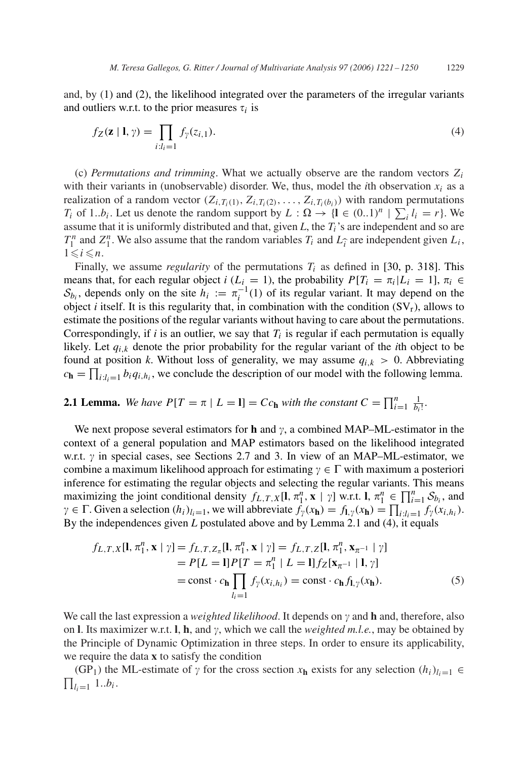and, by [\(1\)](#page-7-0) and [\(2\)](#page-7-0), the likelihood integrated over the parameters of the irregular variants and outliers w.r.t. to the prior measures  $\tau_i$  is

$$
f_Z(\mathbf{z} \mid \mathbf{l}, \gamma) = \prod_{i:l_i=1} f_\gamma(z_{i,1}). \tag{4}
$$

(c) *Permutations and trimming*. What we actually observe are the random vectors *Zi* with their variants in (unobservable) disorder. We, thus, model the *i*th observation  $x_i$  as a realization of a random vector  $(Z_{i,T_i(1)}, Z_{i,T_i(2)}, \ldots, Z_{i,T_i(b_i)})$  with random permutations *T<sub>i</sub>* of 1*..b<sub>i</sub>*. Let us denote the random support by  $L : \Omega \to \{l \in (0..1)^n \mid \sum_i l_i = r\}$ . We assume that it is uniformly distributed and that, given *L*, the *Ti*'s are independent and so are  $T_1^n$  and  $Z_1^n$ . We also assume that the random variables  $T_i$  and  $L_i$  are independent given  $L_i$ ,  $1 \leq i \leq n$ .

Finally, we assume *regularity* of the permutations  $T_i$  as defined in [\[30, p. 318\].](#page-29-0) This means that, for each regular object *i* ( $L_i = 1$ ), the probability  $P[T_i = \pi_i | L_i = 1]$ ,  $\pi_i \in$  $S_{b_i}$ , depends only on the site  $h_i := \pi_i^{-1}(1)$  of its regular variant. It may depend on the object *i* itself. It is this regularity that, in combination with the condition  $(SV_r)$ , allows to estimate the positions of the regular variants without having to care about the permutations. Correspondingly, if  $i$  is an outlier, we say that  $T_i$  is regular if each permutation is equally likely. Let *qi,k* denote the prior probability for the regular variant of the *i*th object to be found at position *k*. Without loss of generality, we may assume  $q_{i,k} > 0$ . Abbreviating  $c_{\mathbf{h}} = \prod_{i: l_i = 1} b_i q_{i, h_i}$ , we conclude the description of our model with the following lemma.

## **2.1 Lemma.** We have  $P[T = \pi | L = I] = Cc_h$  with the constant  $C = \prod_{i=1}^{n} \frac{1}{b_i!}$ .

We next propose several estimators for  **and**  $\gamma$ **, a combined MAP–ML-estimator in the** context of a general population and MAP estimators based on the likelihood integrated w.r.t.  $\gamma$  in special cases, see Sections [2.7](#page-13-0) and [3.](#page-13-0) In view of an MAP–ML-estimator, we combine a maximum likelihood approach for estimating  $\gamma \in \Gamma$  with maximum a posteriori inference for estimating the regular objects and selecting the regular variants. This means maximizing the joint conditional density  $f_{L,T,X}[\mathbf{l}, \pi_1^n, \mathbf{x} | \gamma]$  w.r.t.  $\mathbf{l}, \pi_1^n \in \prod_{i=1}^n S_{b_i}$ , and  $\gamma \in \Gamma$ . Given a selection  $(h_i)_{l_i=1}$ , we will abbreviate  $f_\gamma(x_h) = f_{\mathbf{l},\gamma}(x_h) = \prod_{i:l_i=1} f_\gamma(x_{i,h_i})$ . By the independences given *L* postulated above and by Lemma 2.1 and [\(4\)](#page-7-0), it equals

$$
f_{L,T,X}[\mathbf{l}, \pi_1^n, \mathbf{x} \mid \gamma] = f_{L,T,Z_{\pi}}[\mathbf{l}, \pi_1^n, \mathbf{x} \mid \gamma] = f_{L,T,Z}[\mathbf{l}, \pi_1^n, \mathbf{x}_{\pi^{-1}} \mid \gamma]
$$
  
=  $P[L = \mathbf{l}]P[T = \pi_1^n \mid L = \mathbf{l}]f_Z[\mathbf{x}_{\pi^{-1}} \mid \mathbf{l}, \gamma]$   
= const \cdot c\_{\mathbf{h}} \prod\_{l\_i=1} f\_{\gamma}(x\_{i,h\_i}) = const \cdot c\_{\mathbf{h}} f\_{L,\gamma}(x\_{\mathbf{h}}). (5)

We call the last expression a *weighted likelihood*. It depends on  $\gamma$  and  $\bf{h}$  and, therefore, also on **l**. Its maximizer w.r.t. **l**, **h**, and  $\gamma$ , which we call the *weighted m.l.e.*, may be obtained by the Principle of Dynamic Optimization in three steps. In order to ensure its applicability, we require the data **x** to satisfy the condition

(GP<sub>1</sub>) the ML-estimate of  $\gamma$  for the cross section  $x_h$  exists for any selection  $(h_i)_{l_i=1} \in$  $\prod_{i=1}^{n} 1..b_i.$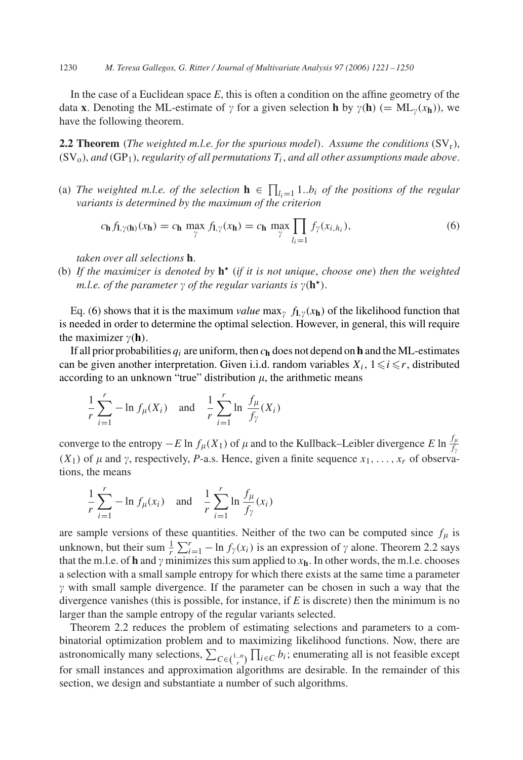<span id="page-9-0"></span>In the case of a Euclidean space *E*, this is often a condition on the affine geometry of the data **x**. Denoting the ML-estimate of  $\gamma$  for a given selection **h** by  $\gamma(\mathbf{h})$  (= ML<sub> $\gamma$ </sub>( $x_{\mathbf{h}}$ )), we have the following theorem.

**2.2 Theorem** *(The weighted m.l.e. for the spurious model). Assume the conditions* (SVr),  $(SV_0)$ , and  $(GP_1)$ , *regularity of all permutations*  $T_i$ , and all other assumptions made above.

(a) The weighted m.l.e. of the selection  $\mathbf{h} \in \prod_{l_i=1}^{n} 1 \cdot b_i$  of the positions of the regular *variants is determined by the maximum of the criterion*

$$
c_{\mathbf{h}} f_{\mathbf{l}, \gamma(\mathbf{h})}(x_{\mathbf{h}}) = c_{\mathbf{h}} \max_{\gamma} f_{\mathbf{l}, \gamma}(x_{\mathbf{h}}) = c_{\mathbf{h}} \max_{\gamma} \prod_{l_i=1} f_{\gamma}(x_{i, h_i}), \tag{6}
$$

*taken over all selections* **h**.

(b) *If the maximizer is denoted by* **h** (*if it is not unique*, *choose one*) *then the weighted*  $m.l.e.$  *of the parameter*  $\gamma$  *of the regular variants is*  $\gamma(h^{\star}).$ 

Eq. (6) shows that it is the maximum *value* max<sub> $\gamma$ </sub>  $f_{\mathbf{l},\gamma}(x_{\mathbf{h}})$  of the likelihood function that is needed in order to determine the optimal selection. However, in general, this will require the maximizer  $\gamma(\mathbf{h})$ .

If all prior probabilities  $q_i$  are uniform, then  $c_h$  does not depend on **h** and the ML-estimates can be given another interpretation. Given i.i.d. random variables  $X_i$ ,  $1 \leq i \leq r$ , distributed according to an unknown "true" distribution  $\mu$ , the arithmetic means

$$
\frac{1}{r}\sum_{i=1}^{r} -\ln f_{\mu}(X_i) \text{ and } \frac{1}{r}\sum_{i=1}^{r} \ln \frac{f_{\mu}}{f_{\gamma}}(X_i)
$$

converge to the entropy  $-E \ln f_\mu(X_1)$  of  $\mu$  and to the Kullback–Leibler divergence  $E \ln \frac{f_\mu}{f_\gamma}$  $(X_1)$  of  $\mu$  and  $\gamma$ , respectively, *P*-a.s. Hence, given a finite sequence  $x_1, \ldots, x_r$  of observations, the means

$$
\frac{1}{r}\sum_{i=1}^{r} -\ln f_{\mu}(x_i) \text{ and } \frac{1}{r}\sum_{i=1}^{r} \ln \frac{f_{\mu}}{f_{\gamma}}(x_i)
$$

are sample versions of these quantities. Neither of the two can be computed since  $f_{\mu}$  is unknown, but their sum  $\frac{1}{r} \sum_{i=1}^{r} -\ln f_{\gamma}(x_i)$  is an expression of  $\gamma$  alone. Theorem 2.2 says that the m.l.e. of **h** and  $\gamma$  minimizes this sum applied to  $x_h$ . In other words, the m.l.e. chooses a selection with a small sample entropy for which there exists at the same time a parameter  $\gamma$  with small sample divergence. If the parameter can be chosen in such a way that the divergence vanishes (this is possible, for instance, if *E* is discrete) then the minimum is no larger than the sample entropy of the regular variants selected.

Theorem 2.2 reduces the problem of estimating selections and parameters to a combinatorial optimization problem and to maximizing likelihood functions. Now, there are astronomically many selections,  $\sum_{C \in {1,n \choose r}} \prod_{i \in C} b_i$ ; enumerating all is not feasible except for small instances and approximation algorithms are desirable. In the remainder of this section, we design and substantiate a number of such algorithms.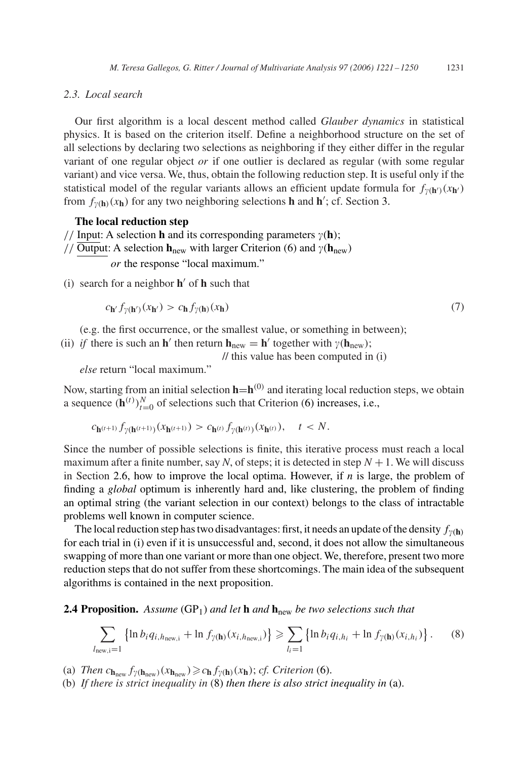## <span id="page-10-0"></span>*2.3. Local search*

Our first algorithm is a local descent method called *Glauber dynamics* in statistical physics. It is based on the criterion itself. Define a neighborhood structure on the set of all selections by declaring two selections as neighboring if they either differ in the regular variant of one regular object *or* if one outlier is declared as regular (with some regular variant) and vice versa. We, thus, obtain the following reduction step. It is useful only if the statistical model of the regular variants allows an efficient update formula for  $f_{\gamma(h')}(x_h)$ from  $f_{\gamma(\mathbf{h})}(x_{\mathbf{h}})$  for any two neighboring selections **h** and **h**<sup>'</sup>; cf. Section [3.](#page-13-0)

## **The local reduction step**

- // Input: A selection **h** and its corresponding parameters  $\gamma(\mathbf{h})$ ;
- //  $\overline{\text{Output}}$ : A selection  $\mathbf{h}_{\text{new}}$  with larger Criterion [\(6\)](#page-9-0) and  $\gamma(\mathbf{h}_{\text{new}})$

*or* the response "local maximum."

(i) search for a neighbor  $h'$  of  $h$  such that

$$
c_{\mathbf{h}'} f_{\gamma(\mathbf{h}')} (x_{\mathbf{h}'}) > c_{\mathbf{h}} f_{\gamma(\mathbf{h})} (x_{\mathbf{h}}) \tag{7}
$$

(e.g. the first occurrence, or the smallest value, or something in between);

(ii) *if* there is such an **h**' then return  $\mathbf{h}_{new} = \mathbf{h}'$  together with  $\gamma(\mathbf{h}_{new})$ ;

// this value has been computed in (i)

*else* return "local maximum."

Now, starting from an initial selection **h**=**h***(*0*)* and iterating local reduction steps, we obtain a sequence  $(\mathbf{h}^{(t)})_{t=0}^{N}$  of selections such that Criterion [\(6\)](#page-9-0) increases, i.e.,

$$
c_{\mathbf{h}^{(t+1)}} f_{\gamma(\mathbf{h}^{(t+1)})}(x_{\mathbf{h}^{(t+1)}}) > c_{\mathbf{h}^{(t)}} f_{\gamma(\mathbf{h}^{(t)})}(x_{\mathbf{h}^{(t)}}), \quad t < N.
$$

Since the number of possible selections is finite, this iterative process must reach a local maximum after a finite number, say N, of steps; it is detected in step  $N + 1$ . We will discuss in Section [2.6,](#page-12-0) how to improve the local optima. However, if *n* is large, the problem of finding a *global* optimum is inherently hard and, like clustering, the problem of finding an optimal string (the variant selection in our context) belongs to the class of intractable problems well known in computer science.

The local reduction step has two disadvantages: first, it needs an update of the density  $f_{\gamma(\mathbf{h})}$ for each trial in (i) even if it is unsuccessful and, second, it does not allow the simultaneous swapping of more than one variant or more than one object.We, therefore, present two more reduction steps that do not suffer from these shortcomings. The main idea of the subsequent algorithms is contained in the next proposition.

**2.4 Proposition.** Assume (GP<sub>1</sub>) and let **h** and **h**<sub>new</sub> be two selections such that

$$
\sum_{l_{\text{new},i}=1} \left\{ \ln b_i q_{i,h_{\text{new},i}} + \ln f_{\gamma(\mathbf{h})}(x_{i,h_{\text{new},i}}) \right\} \geqslant \sum_{l_i=1} \left\{ \ln b_i q_{i,h_i} + \ln f_{\gamma(\mathbf{h})}(x_{i,h_i}) \right\}. \tag{8}
$$

(a) *Then*  $c_{\mathbf{h}_{new}} f_{\gamma(\mathbf{h}_{new})}(x_{\mathbf{h}_{new}}) \geq c_{\mathbf{h}} f_{\gamma(\mathbf{h})}(x_{\mathbf{h}});$  *cf. Criterion* [\(6\)](#page-9-0).

(b) *If there is strict inequality in* (8) *then there is also strict inequality in* (a).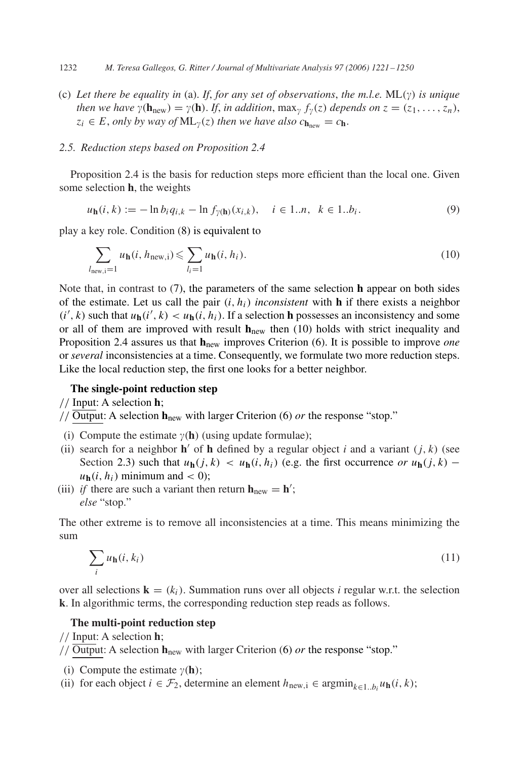<span id="page-11-0"></span>(c) Let there be equality in (a). If, for any set of observations, the m.l.e.  $ML(\gamma)$  is unique *then we have*  $\gamma(\mathbf{h}_{new}) = \gamma(\mathbf{h})$ . *If, in addition,* max<sub> $\gamma$ </sub>  $f_{\gamma}(z)$  *depends on*  $z = (z_1, \ldots, z_n)$ ,  $z_i \in E$ , only by way of  $ML_\gamma(z)$  then we have also  $c_{\mathbf{h}_{new}} = c_{\mathbf{h}}$ .

## *2.5. Reduction steps based on Proposition 2.4*

Proposition 2.4 is the basis for reduction steps more efficient than the local one. Given some selection **h**, the weights

$$
u_{\mathbf{h}}(i,k) := -\ln b_i q_{i,k} - \ln f_{\gamma(\mathbf{h})}(x_{i,k}), \quad i \in 1..n, \ k \in 1..b_i.
$$
 (9)

play a key role. Condition [\(8\)](#page-10-0) is equivalent to

$$
\sum_{l_{\text{new},i}=1} u_{\mathbf{h}}(i, h_{\text{new},i}) \leqslant \sum_{l_i=1} u_{\mathbf{h}}(i, h_i). \tag{10}
$$

Note that, in contrast to [\(7\)](#page-10-0), the parameters of the same selection **h** appear on both sides of the estimate. Let us call the pair  $(i, h_i)$  *inconsistent* with **h** if there exists a neighbor  $(i', k)$  such that  $u_h(i', k) < u_h(i, h_i)$ . If a selection **h** possesses an inconsistency and some or all of them are improved with result  $h_{\text{new}}$  then (10) holds with strict inequality and Proposition 2.4 assures us that **h**<sub>new</sub> improves Criterion [\(6\)](#page-9-0). It is possible to improve *one* or *several* inconsistencies at a time. Consequently, we formulate two more reduction steps. Like the local reduction step, the first one looks for a better neighbor.

## **The single-point reduction step**

*//* Input: A selection **h**;

*//* Output: A selection **h**new with larger Criterion [\(6\)](#page-9-0) *or* the response "stop."

- (i) Compute the estimate  $\gamma$ (**h**) (using update formulae);
- (ii) search for a neighbor  $h'$  of  $h$  defined by a regular object *i* and a variant  $(i, k)$  (see Section [2.3\)](#page-10-0) such that  $u_{\bf h}(j, k) < u_{\bf h}(i, h_i)$  (e.g. the first occurrence *or*  $u_{\bf h}(j, k)$  –  $u_h(i, h_i)$  minimum and  $<$  0);
- (iii) *if* there are such a variant then return  $\mathbf{h}_{new} = \mathbf{h}'$ ; *else* "stop."

The other extreme is to remove all inconsistencies at a time. This means minimizing the sum

$$
\sum_{i} u_{\mathbf{h}}(i,k_i) \tag{11}
$$

over all selections  $\mathbf{k} = (k_i)$ . Summation runs over all objects *i* regular w.r.t. the selection **k**. In algorithmic terms, the corresponding reduction step reads as follows.

#### **The multi-point reduction step**

*//* Input: A selection **h**;

 $\frac{1}{\sqrt{2}}$  Output: A selection  $h_{\text{new}}$  with larger Criterion [\(6\)](#page-9-0) *or* the response "stop."

- (i) Compute the estimate  $\gamma(\mathbf{h})$ ;
- (ii) for each object *i* ∈  $\mathcal{F}_2$ , determine an element  $h_{\text{new},i}$  ∈ argmin<sub> $k \in 1..b_i} u_{\textbf{h}}(i, k)$ ;</sub>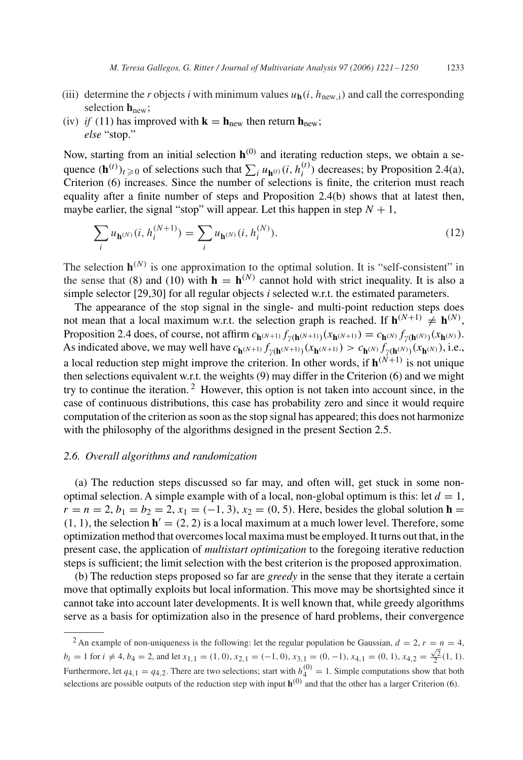- <span id="page-12-0"></span>(iii) determine the *r* objects *i* with minimum values  $u_{\bf h}(i, h_{\rm new,i})$  and call the corresponding selection  $h_{\text{new}}$ ;
- (iv) *if* [\(11\)](#page-11-0) has improved with  $\mathbf{k} = \mathbf{h}_{new}$  then return  $\mathbf{h}_{new}$ ; *else* "stop."

Now, starting from an initial selection **h***(*0*)* and iterating reduction steps, we obtain a sequence  $(\mathbf{h}^{(t)})_{t \geq 0}$  of selections such that  $\sum_{i} u_{\mathbf{h}^{(t)}}(i, h_i^{(t)})$  decreases; by Proposition 2.4(a), Criterion [\(6\)](#page-9-0) increases. Since the number of selections is finite, the criterion must reach equality after a finite number of steps and Proposition 2.4(b) shows that at latest then, maybe earlier, the signal "stop" will appear. Let this happen in step  $N + 1$ ,

$$
\sum_{i} u_{\mathbf{h}^{(N)}}(i, h_i^{(N+1)}) = \sum_{i} u_{\mathbf{h}^{(N)}}(i, h_i^{(N)}).
$$
\n(12)

The selection  $\mathbf{h}^{(N)}$  is one approximation to the optimal solution. It is "self-consistent" in the sense that [\(8\)](#page-10-0) and [\(10\)](#page-11-0) with  $\mathbf{h} = \mathbf{h}^{(N)}$  cannot hold with strict inequality. It is also a simple selector [\[29,30\]](#page-29-0) for all regular objects *i* selected w.r.t. the estimated parameters.

The appearance of the stop signal in the single- and multi-point reduction steps does not mean that a local maximum w.r.t. the selection graph is reached. If  $h^{(N+1)} \neq h^{(N)}$ , Proposition 2.4 does, of course, not affirm  $c_{\mathbf{h}^{(N+1)}} f_{\gamma(\mathbf{h}^{(N+1)})}(x_{\mathbf{h}^{(N+1)}}) = c_{\mathbf{h}^{(N)}} f_{\gamma(\mathbf{h}^{(N)})}(x_{\mathbf{h}^{(N)}})$ . As indicated above, we may well have  $c_{\mathbf{h}^{(N+1)}} f_{\gamma(\mathbf{h}^{(N+1)})}(x_{\mathbf{h}^{(N+1)}}) > c_{\mathbf{h}^{(N)}} f_{\gamma(\mathbf{h}^{(N)})}(x_{\mathbf{h}^{(N)}}),$  i.e., a local reduction step might improve the criterion. In other words, if  $h^{(N+1)}$  is not unique then selections equivalent w.r.t. the weights [\(9\)](#page-11-0) may differ in the Criterion [\(6\)](#page-9-0) and we might try to continue the iteration.<sup>2</sup> However, this option is not taken into account since, in the case of continuous distributions, this case has probability zero and since it would require computation of the criterion as soon as the stop signal has appeared; this does not harmonize with the philosophy of the algorithms designed in the present Section [2.5.](#page-11-0)

### *2.6. Overall algorithms and randomization*

(a) The reduction steps discussed so far may, and often will, get stuck in some nonoptimal selection. A simple example with of a local, non-global optimum is this: let  $d = 1$ ,  $r = n = 2, b_1 = b_2 = 2, x_1 = (-1, 3), x_2 = (0, 5)$ . Here, besides the global solution **h** =  $(1, 1)$ , the selection  $\mathbf{h}' = (2, 2)$  is a local maximum at a much lower level. Therefore, some optimization method that overcomes local maxima must be employed. It turns out that, in the present case, the application of *multistart optimization* to the foregoing iterative reduction steps is sufficient; the limit selection with the best criterion is the proposed approximation.

(b) The reduction steps proposed so far are *greedy* in the sense that they iterate a certain move that optimally exploits but local information. This move may be shortsighted since it cannot take into account later developments. It is well known that, while greedy algorithms serve as a basis for optimization also in the presence of hard problems, their convergence

<sup>&</sup>lt;sup>2</sup> An example of non-uniqueness is the following: let the regular population be Gaussian,  $d = 2$ ,  $r = n = 4$ , An example of non-uniqueness is the following, let the regular population be Gaussian,  $u = 2, t = u = +$ ,<br> $b_i = 1$  for  $i \neq 4$ ,  $b_4 = 2$ , and let  $x_{1,1} = (1,0), x_{2,1} = (-1,0), x_{3,1} = (0,-1), x_{4,1} = (0,1), x_{4,2} = \frac{\sqrt{2}}{2}(1,1)$ . Furthermore, let  $q_{4,1} = q_{4,2}$ . There are two selections; start with  $h_4^{(0)} = 1$ . Simple computations show that both selections are possible outputs of the reduction step with input **h***(*0*)* and that the other has a larger Criterion [\(6\)](#page-9-0).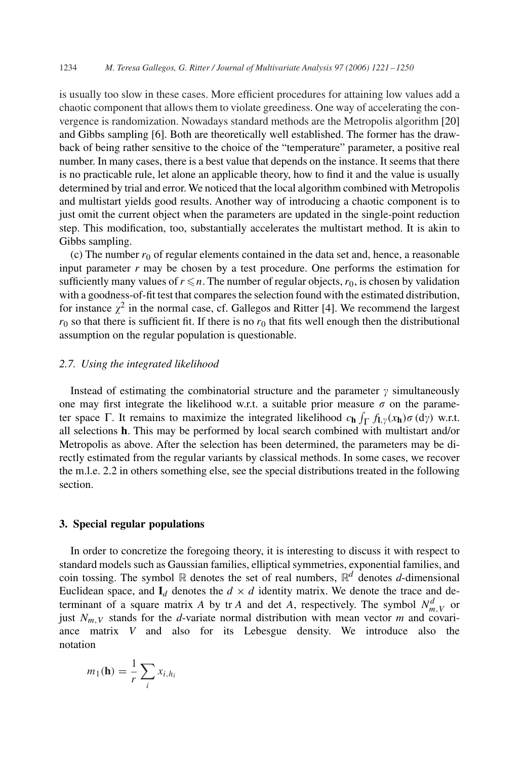<span id="page-13-0"></span>is usually too slow in these cases. More efficient procedures for attaining low values add a chaotic component that allows them to violate greediness. One way of accelerating the convergence is randomization. Nowadays standard methods are the Metropolis algorithm [\[20\]](#page-29-0) and Gibbs sampling [\[6\].](#page-28-0) Both are theoretically well established. The former has the drawback of being rather sensitive to the choice of the "temperature" parameter, a positive real number. In many cases, there is a best value that depends on the instance. It seems that there is no practicable rule, let alone an applicable theory, how to find it and the value is usually determined by trial and error.We noticed that the local algorithm combined with Metropolis and multistart yields good results. Another way of introducing a chaotic component is to just omit the current object when the parameters are updated in the single-point reduction step. This modification, too, substantially accelerates the multistart method. It is akin to Gibbs sampling.

(c) The number  $r_0$  of regular elements contained in the data set and, hence, a reasonable input parameter  $r$  may be chosen by a test procedure. One performs the estimation for sufficiently many values of  $r \le n$ . The number of regular objects,  $r_0$ , is chosen by validation with a goodness-of-fit test that compares the selection found with the estimated distribution, for instance  $\chi^2$  in the normal case, cf. Gallegos and Ritter [\[4\].](#page-28-0) We recommend the largest  $r_0$  so that there is sufficient fit. If there is no  $r_0$  that fits well enough then the distributional assumption on the regular population is questionable.

#### *2.7. Using the integrated likelihood*

Instead of estimating the combinatorial structure and the parameter  $\gamma$  simultaneously one may first integrate the likelihood w.r.t. a suitable prior measure  $\sigma$  on the parameter space  $\Gamma$ . It remains to maximize the integrated likelihood  $c_{\bf h} \int_{\Gamma} f_{\bf l, \gamma}(x_{\bf h}) \sigma(d\gamma)$  w.r.t. all selections **h**. This may be performed by local search combined with multistart and/or Metropolis as above. After the selection has been determined, the parameters may be directly estimated from the regular variants by classical methods. In some cases, we recover the m.l.e. 2.2 in others something else, see the special distributions treated in the following section.

#### **3. Special regular populations**

In order to concretize the foregoing theory, it is interesting to discuss it with respect to standard models such as Gaussian families, elliptical symmetries, exponential families, and coin tossing. The symbol R denotes the set of real numbers,  $\mathbb{R}^d$  denotes *d*-dimensional Euclidean space, and  $I_d$  denotes the  $d \times d$  identity matrix. We denote the trace and determinant of a square matrix *A* by tr *A* and det *A*, respectively. The symbol  $N_{m,V}^d$  or just  $N_{m,V}$  stands for the *d*-variate normal distribution with mean vector *m* and covariance matrix *V* and also for its Lebesgue density. We introduce also the notation

$$
m_1(\mathbf{h}) = \frac{1}{r} \sum_i x_{i,h_i}
$$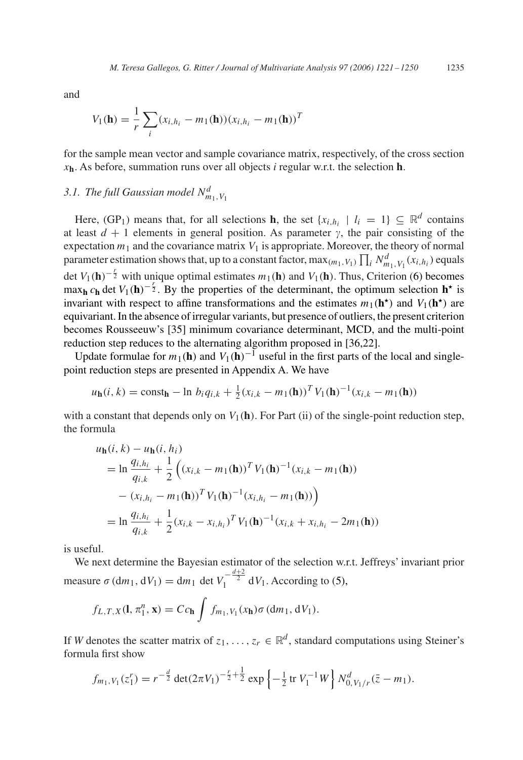and

$$
V_1(\mathbf{h}) = \frac{1}{r} \sum_i (x_{i,h_i} - m_1(\mathbf{h})) (x_{i,h_i} - m_1(\mathbf{h}))^T
$$

for the sample mean vector and sample covariance matrix, respectively, of the cross section *x***h**. As before, summation runs over all objects *i* regular w.r.t. the selection **h**.

## *3.1. The full Gaussian model*  $N_{m_1,V_1}^d$

Here, (GP<sub>1</sub>) means that, for all selections **h**, the set  $\{x_{i,h_i} \mid l_i = 1\} \subseteq \mathbb{R}^d$  contains at least  $d + 1$  elements in general position. As parameter  $\gamma$ , the pair consisting of the expectation  $m_1$  and the covariance matrix  $V_1$  is appropriate. Moreover, the theory of normal parameter estimation shows that, up to a constant factor,  $\max_{(m_1, V_1)} \prod_i N_{m_1, V_1}^d(x_{i, h_i})$  equals det  $V_1(\mathbf{h})^{-\frac{r}{2}}$  with unique optimal estimates  $m_1(\mathbf{h})$  and  $V_1(\mathbf{h})$ . Thus, Criterion [\(6\)](#page-9-0) becomes max<sub>h</sub>  $c_h$  det  $V_1(h)$ <sup>- $r$ </sup>. By the properties of the determinant, the optimum selection **h**<sup>\*</sup> is invariant with respect to affine transformations and the estimates  $m_1(\mathbf{h}^*)$  and  $V_1(\mathbf{h}^*)$  are equivariant. In the absence of irregular variants, but presence of outliers, the present criterion becomes Rousseeuw's [\[35\]](#page-29-0) minimum covariance determinant, MCD, and the multi-point reduction step reduces to the alternating algorithm proposed in [\[36,22\].](#page-29-0)

Update formulae for  $m_1(\mathbf{h})$  and  $V_1(\mathbf{h})^{-1}$  useful in the first parts of the local and singlepoint reduction steps are presented in Appendix [A.](#page-23-0) We have

$$
u_{\mathbf{h}}(i,k) = \text{const}_{\mathbf{h}} - \ln b_i q_{i,k} + \frac{1}{2} (x_{i,k} - m_1(\mathbf{h}))^T V_1(\mathbf{h})^{-1} (x_{i,k} - m_1(\mathbf{h}))
$$

with a constant that depends only on  $V_1(\mathbf{h})$ . For Part (ii) of the single-point reduction step, the formula

$$
u_{\mathbf{h}}(i,k) - u_{\mathbf{h}}(i, h_i)
$$
  
=  $\ln \frac{q_{i,h_i}}{q_{i,k}} + \frac{1}{2} \left( (x_{i,k} - m_1(\mathbf{h}))^T V_1(\mathbf{h})^{-1} (x_{i,k} - m_1(\mathbf{h})) \right)$   
-  $(x_{i,h_i} - m_1(\mathbf{h}))^T V_1(\mathbf{h})^{-1} (x_{i,h_i} - m_1(\mathbf{h}))$   
=  $\ln \frac{q_{i,h_i}}{q_{i,k}} + \frac{1}{2} (x_{i,k} - x_{i,h_i})^T V_1(\mathbf{h})^{-1} (x_{i,k} + x_{i,h_i} - 2m_1(\mathbf{h}))$ 

is useful.

We next determine the Bayesian estimator of the selection w.r.t. Jeffreys' invariant prior measure  $\sigma$  (dm<sub>1</sub>, dV<sub>1</sub>) = dm<sub>1</sub> det  $V_1^{-\frac{d+2}{2}}$  dV<sub>1</sub>. According to [\(5\)](#page-7-0),

$$
f_{L,T,X}(\mathbf{l}, \pi_1^n, \mathbf{x}) = C c_{\mathbf{h}} \int f_{m_1, V_1}(x_{\mathbf{h}}) \sigma \, dm_1, dV_1).
$$

If *W* denotes the scatter matrix of  $z_1, \ldots, z_r \in \mathbb{R}^d$ , standard computations using Steiner's formula first show

$$
f_{m_1,V_1}(z_1^r) = r^{-\frac{d}{2}} \det(2\pi V_1)^{-\frac{r}{2} + \frac{1}{2}} \exp\left\{-\frac{1}{2} \operatorname{tr} V_1^{-1} W\right\} N_{0,V_1/r}^d(\bar{z} - m_1).
$$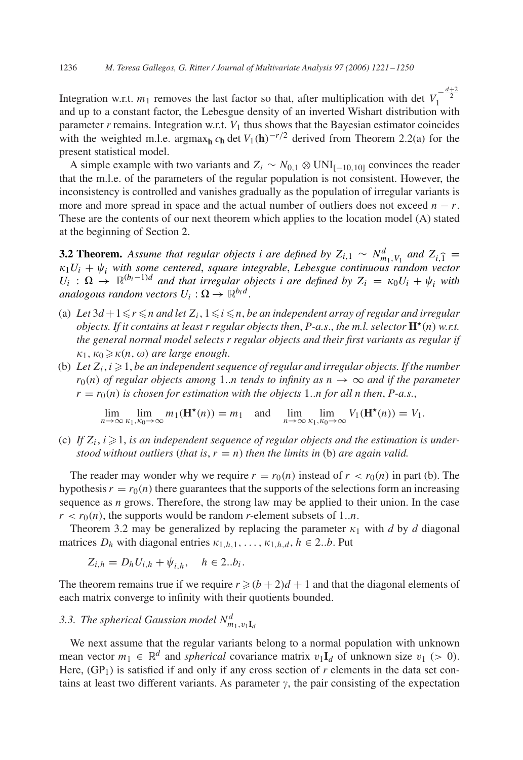Integration w.r.t. *m*<sub>1</sub> removes the last factor so that, after multiplication with det  $V_1^{-\frac{d+2}{2}}$ and up to a constant factor, the Lebesgue density of an inverted Wishart distribution with parameter  $r$  remains. Integration w.r.t.  $V_1$  thus shows that the Bayesian estimator coincides with the weighted m.l.e. argmax<sub>h</sub>  $c_h$  det  $V_1(\mathbf{h})^{-r/2}$  derived from Theorem 2.2(a) for the present statistical model.

A simple example with two variants and  $Z_i \sim N_{0,1} \otimes UNI_{[-10,10]}$  convinces the reader that the m.l.e. of the parameters of the regular population is not consistent. However, the inconsistency is controlled and vanishes gradually as the population of irregular variants is more and more spread in space and the actual number of outliers does not exceed  $n - r$ . These are the contents of our next theorem which applies to the location model (A) stated at the beginning of Section [2.](#page-6-0)

**3.2 Theorem.** Assume that regular objects i are defined by  $Z_{i,1} \sim N_{m_1,V_1}^d$  and  $Z_{i,\overline{1}} =$ <br>*M<sub>1</sub>,V<sub>1</sub>*  $\rightarrow$  *M<sub>1</sub>, with some contened, square integrable. Lehosque continuous random western*  $\kappa_1 U_i + \psi_i$  with some centered, square integrable, *Lebesgue continuous random vector*  $U_i$ :  $\Omega \rightarrow \mathbb{R}^{(b_i-1)d}$  *and that irregular objects i are defined by*  $Z_i = \kappa_0 U_i + \psi_i$  *with analogous random vectors*  $U_i$  :  $\Omega \rightarrow \mathbb{R}^{b_i d}$ .

- (a) Let  $3d+1 \leq r \leq n$  and let  $Z_i$ ,  $1 \leq i \leq n$ , be an independent array of regular and irregular *objects. If it contains at least r regular objects then*, *P-a.s*., *the m.l. selector* **H***(n) w.r.t. the general normal model selects r regular objects and their first variants as regular if*  $\kappa_1, \kappa_0 \geqslant \kappa(n, \omega)$  *are large enough.*
- (b) Let  $Z_i$ ,  $i \geq 1$ , *be an independent sequence of regular and irregular objects. If the number r*<sub>0</sub>(*n*) *of regular objects among* 1*..n tends to infinity as*  $n \rightarrow \infty$  *and if the parameter*  $r = r_0(n)$  *is chosen for estimation with the objects* 1.*.n for all n then, P-a.s.*,

 $\lim_{n \to \infty} \lim_{\kappa_1, \kappa_0 \to \infty} m_1(\mathbf{H}^*(n)) = m_1$  and  $\lim_{n \to \infty} \lim_{\kappa_1, \kappa_0 \to \infty} V_1(\mathbf{H}^*(n)) = V_1$ .

(c) If  $Z_i$ ,  $i \geq 1$ , *is an independent sequence of regular objects and the estimation is understood without outliers* (*that is,*  $r = n$ ) *then the limits in* (*b*) *are again valid.* 

The reader may wonder why we require  $r = r_0(n)$  instead of  $r < r_0(n)$  in part (b). The hypothesis  $r = r_0(n)$  there guarantees that the supports of the selections form an increasing sequence as *n* grows. Therefore, the strong law may be applied to their union. In the case  $r < r_0(n)$ , the supports would be random *r*-element subsets of 1*.m*.

Theorem 3.2 may be generalized by replacing the parameter  $\kappa_1$  with *d* by *d* diagonal matrices  $D_h$  with diagonal entries  $\kappa_{1,h,1}, \ldots, \kappa_{1,h,d}, h \in 2..b$ . Put

$$
Z_{i,h} = D_h U_{i,h} + \psi_{i,h}, \quad h \in 2..b_i.
$$

The theorem remains true if we require  $r \geq (b+2)d+1$  and that the diagonal elements of each matrix converge to infinity with their quotients bounded.

## 3.3. The spherical Gaussian model  $N_{m_1,v_1\mathbf{I}_d}^d$

We next assume that the regular variants belong to a normal population with unknown mean vector  $m_1 \in \mathbb{R}^d$  and *spherical* covariance matrix  $v_1 \mathbf{I}_d$  of unknown size  $v_1 (> 0)$ . Here,  $(GP_1)$  is satisfied if and only if any cross section of r elements in the data set contains at least two different variants. As parameter  $\gamma$ , the pair consisting of the expectation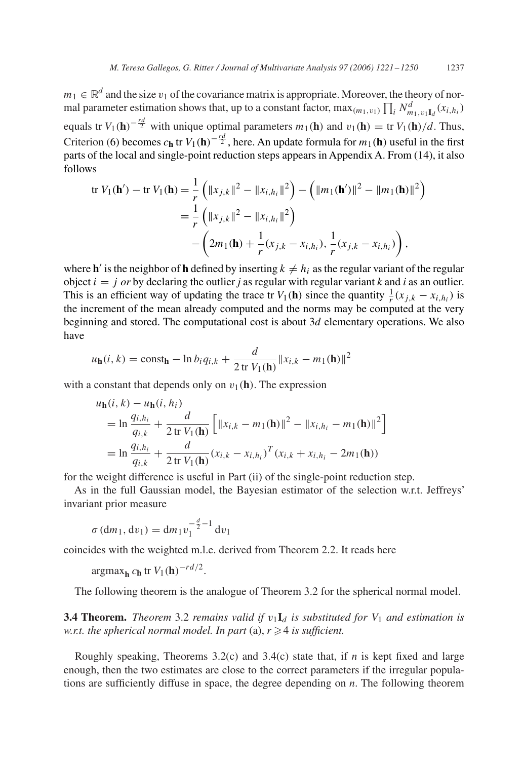$m_1 \in \mathbb{R}^d$  and the size  $v_1$  of the covariance matrix is appropriate. Moreover, the theory of normal parameter estimation shows that, up to a constant factor,  $\max_{(m_1, v_1)} \prod_i N_{m_1, v_1 \mathbf{I}_d}^d(x_{i, h_i})$ equals tr  $V_1(\mathbf{h})^{-\frac{rd}{2}}$  with unique optimal parameters  $m_1(\mathbf{h})$  and  $v_1(\mathbf{h}) = \text{tr } V_1(\mathbf{h})/d$ . Thus, Criterion [\(6\)](#page-9-0) becomes  $c_h$  tr  $V_1(h)^{-\frac{rd}{2}}$ , here. An update formula for  $m_1(h)$  useful in the first parts of the local and single-point reduction steps appears in Appendix [A.](#page-23-0) From [\(14\)](#page-23-0), it also follows

$$
\begin{split} \text{tr } V_1(\mathbf{h}') - \text{tr } V_1(\mathbf{h}) &= \frac{1}{r} \left( \|x_{j,k}\|^2 - \|x_{i,h_i}\|^2 \right) - \left( \|m_1(\mathbf{h}')\|^2 - \|m_1(\mathbf{h})\|^2 \right) \\ &= \frac{1}{r} \left( \|x_{j,k}\|^2 - \|x_{i,h_i}\|^2 \right) \\ &- \left( 2m_1(\mathbf{h}) + \frac{1}{r} (x_{j,k} - x_{i,h_i}), \frac{1}{r} (x_{j,k} - x_{i,h_i}) \right), \end{split}
$$

where **h**' is the neighbor of **h** defined by inserting  $k \neq h_i$  as the regular variant of the regular object  $i = j$  *or* by declaring the outlier *j* as regular with regular variant *k* and *i* as an outlier. This is an efficient way of updating the trace tr  $V_1(\mathbf{h})$  since the quantity  $\frac{1}{r}(x_{j,k} - x_{i,h_i})$  is the increment of the mean already computed and the norms may be computed at the very beginning and stored. The computational cost is about 3*d* elementary operations. We also have

$$
u_{\mathbf{h}}(i,k) = \text{const}_{\mathbf{h}} - \ln b_i q_{i,k} + \frac{d}{2 \text{ tr } V_1(\mathbf{h})} ||x_{i,k} - m_1(\mathbf{h})||^2
$$

with a constant that depends only on  $v_1$  (**h**). The expression

$$
u_{\mathbf{h}}(i,k) - u_{\mathbf{h}}(i,h_i)
$$
  
=  $\ln \frac{q_{i,h_i}}{q_{i,k}} + \frac{d}{2 \text{ tr } V_1(\mathbf{h})} \left[ ||x_{i,k} - m_1(\mathbf{h})||^2 - ||x_{i,h_i} - m_1(\mathbf{h})||^2 \right]$   
=  $\ln \frac{q_{i,h_i}}{q_{i,k}} + \frac{d}{2 \text{ tr } V_1(\mathbf{h})} (x_{i,k} - x_{i,h_i})^T (x_{i,k} + x_{i,h_i} - 2m_1(\mathbf{h}))$ 

for the weight difference is useful in Part (ii) of the single-point reduction step.

As in the full Gaussian model, the Bayesian estimator of the selection w.r.t. Jeffreys' invariant prior measure

$$
\sigma \left( dm_1, dv_1 \right) = dm_1 v_1^{-\frac{d}{2} - 1} dv_1
$$

coincides with the weighted m.l.e. derived from Theorem 2.2. It reads here

$$
\operatorname{argmax}_{\mathbf{h}} c_{\mathbf{h}} \operatorname{tr} V_1(\mathbf{h})^{-rd/2}.
$$

The following theorem is the analogue of Theorem 3.2 for the spherical normal model.

**3.4 Theorem.** *Theorem* 3.2 *remains valid if*  $v_1I_d$  *is substituted for*  $V_1$  *and estimation is w.r.t. the spherical normal model. In part* (a),  $r \geq 4$  *is sufficient.* 

Roughly speaking, Theorems 3.2(c) and 3.4(c) state that, if *n* is kept fixed and large enough, then the two estimates are close to the correct parameters if the irregular populations are sufficiently diffuse in space, the degree depending on *n*. The following theorem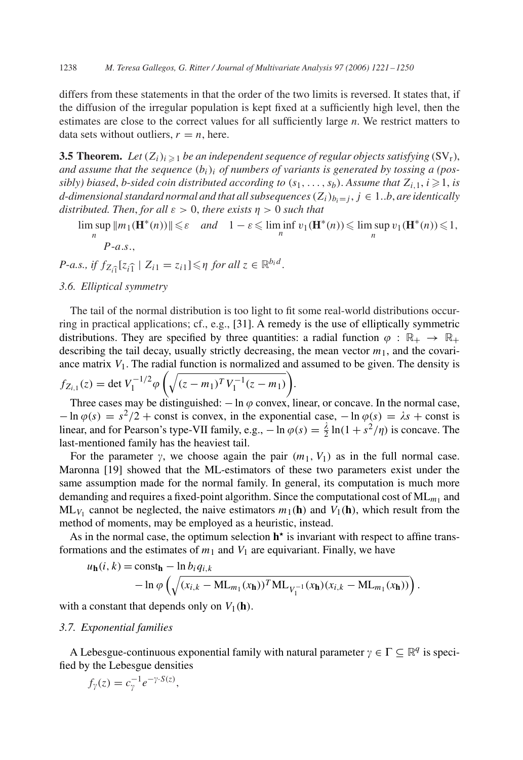differs from these statements in that the order of the two limits is reversed. It states that, if the diffusion of the irregular population is kept fixed at a sufficiently high level, then the estimates are close to the correct values for all sufficiently large *n*. We restrict matters to data sets without outliers,  $r = n$ , here.

**3.5 Theorem.** Let  $(Z_i)_{i\geq 1}$  be an independent sequence of regular objects satisfying  $(SV_r)$ , and assume that the sequence  $(b_i)_i$  of numbers of variants is generated by tossing a (pos*sibly) biased, b-sided coin distributed according to*  $(s_1, \ldots, s_b)$ . *Assume that*  $Z_{i,1}$ ,  $i \geqslant 1$ , *is d*-dimensional standard normal and that all subsequences  $(Z_i)_{i=i}$ ,  $j \in 1..b$ , are identically  $distributed.$  Then,  $for$  all  $\varepsilon > 0$ , there exists  $\eta > 0$  such that

 $\limsup_n ||m_1(\mathbf{H}^*(n))|| \leq \varepsilon$  *and*  $1 - \varepsilon \leq \liminf_n v_1(\mathbf{H}^*(n)) \leq \limsup_n v_1(\mathbf{H}^*(n)) \leq 1$ , *P*-*a.s., P*-*a.s., if*  $f_{Z_i \hat{1}}[z_i \hat{1} | Z_i] = z_i 1] \le \eta$  for all  $z \in \mathbb{R}^{b_i d}$ .

*3.6. Elliptical symmetry*

The tail of the normal distribution is too light to fit some real-world distributions occurring in practical applications; cf., e.g., [\[31\].](#page-29-0) A remedy is the use of elliptically symmetric distributions. They are specified by three quantities: a radial function  $\varphi : \mathbb{R}_+ \to \mathbb{R}_+$ describing the tail decay, usually strictly decreasing, the mean vector  $m_1$ , and the covariance matrix  $V_1$ . The radial function is normalized and assumed to be given. The density is

$$
f_{Z_{i,1}}(z) = \det V_1^{-1/2} \varphi \left( \sqrt{(z - m_1)^T V_1^{-1} (z - m_1)} \right)
$$

Three cases may be distinguished:  $- \ln \varphi$  convex, linear, or concave. In the normal case,  $-\ln \varphi(s) = s^2/2 + \text{const}$  is convex, in the exponential case,  $-\ln \varphi(s) = \lambda s + \text{const}$  is linear, and for Pearson's type-VII family, e.g.,  $-\ln \varphi(s) = \frac{\lambda}{2} \ln(1 + s^2/\eta)$  is concave. The last-mentioned family has the heaviest tail.

.

For the parameter  $\gamma$ , we choose again the pair  $(m_1, V_1)$  as in the full normal case. Maronna [\[19\]](#page-29-0) showed that the ML-estimators of these two parameters exist under the same assumption made for the normal family. In general, its computation is much more demanding and requires a fixed-point algorithm. Since the computational cost of  $ML_{m_1}$  and  $ML_{V_1}$  cannot be neglected, the naive estimators  $m_1(\mathbf{h})$  and  $V_1(\mathbf{h})$ , which result from the method of moments, may be employed as a heuristic, instead.

As in the normal case, the optimum selection  $h^*$  is invariant with respect to affine transformations and the estimates of  $m_1$  and  $V_1$  are equivariant. Finally, we have

$$
u_{\mathbf{h}}(i,k) = \text{const}_{\mathbf{h}} - \ln b_i q_{i,k}
$$
  
- 
$$
\ln \varphi \left( \sqrt{(x_{i,k} - \text{ML}_{m_1}(x_{\mathbf{h}}))^T \text{ML}_{V_1^{-1}}(x_{\mathbf{h}})(x_{i,k} - \text{ML}_{m_1}(x_{\mathbf{h}}))} \right).
$$

with a constant that depends only on  $V_1(\mathbf{h})$ .

#### *3.7. Exponential families*

A Lebesgue-continuous exponential family with natural parameter  $\gamma \in \Gamma \subseteq \mathbb{R}^q$  is specified by the Lebesgue densities

$$
f_{\gamma}(z) = c_{\gamma}^{-1} e^{-\gamma \cdot S(z)},
$$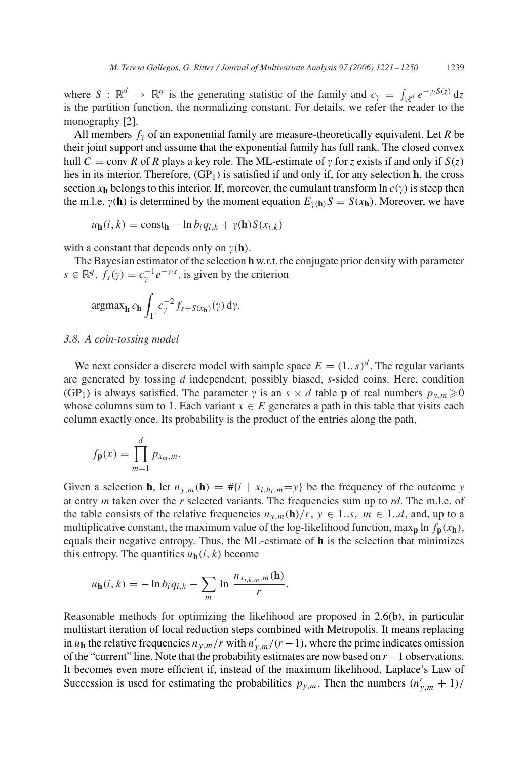<span id="page-18-0"></span>where  $S : \mathbb{R}^d \to \mathbb{R}^q$  is the generating statistic of the family and  $c_\gamma = \int_{\mathbb{R}^d} e^{-\gamma \cdot S(z)} dz$ is the partition function, the normalizing constant. For details, we refer the reader to the monography [\[2\].](#page-28-0)

All members  $f_{\gamma}$  of an exponential family are measure-theoretically equivalent. Let *R* be their joint support and assume that the exponential family has full rank. The closed convex hull  $C = \overline{conv} R$  of R plays a key role. The ML-estimate of  $\gamma$  for *z* exists if and only if  $S(z)$ lies in its interior. Therefore, (GP1) is satisfied if and only if, for any selection **h**, the cross section  $x_h$  belongs to this interior. If, moreover, the cumulant transform  $\ln c(\gamma)$  is steep then the m.l.e.  $\gamma(\mathbf{h})$  is determined by the moment equation  $E_{\gamma(\mathbf{h})}S = S(x_{\mathbf{h}})$ . Moreover, we have

$$
u_{\mathbf{h}}(i,k) = \text{const}_{\mathbf{h}} - \ln b_i q_{i,k} + \gamma(\mathbf{h}) S(x_{i,k})
$$

with a constant that depends only on  $\gamma(\mathbf{h})$ .

The Bayesian estimator of the selection **h** w.r.t. the conjugate prior density with parameter  $s \in \mathbb{R}^q$ ,  $f_s(\gamma) = c_\gamma^{-1} e^{-\gamma \cdot s}$ , is given by the criterion

$$
\operatorname{argmax}_{\mathbf{h}} c_{\mathbf{h}} \int_{\Gamma} c_{\gamma}^{-2} f_{s+S(x_{\mathbf{h}})}(\gamma) d\gamma.
$$

#### *3.8. A coin-tossing model*

We next consider a discrete model with sample space  $E = (1, s)^d$ . The regular variants are generated by tossing *d* independent, possibly biased, *s*-sided coins. Here, condition (GP<sub>1</sub>) is always satisfied. The parameter  $\gamma$  is an  $s \times d$  table **p** of real numbers  $p_{y,m} \ge 0$ whose columns sum to 1. Each variant  $x \in E$  generates a path in this table that visits each column exactly once. Its probability is the product of the entries along the path,

$$
f_{\mathbf{p}}(x) = \prod_{m=1}^{d} p_{x_m,m}.
$$

Given a selection **h**, let  $n_{y,m}(\mathbf{h}) = #\{i \mid x_{i,h_i,m}=y\}$  be the frequency of the outcome *y* at entry *m* taken over the *r* selected variants. The frequencies sum up to *rd*. The m.l.e. of the table consists of the relative frequencies  $n_{y,m}(\mathbf{h})/r$ ,  $y \in 1..s$ ,  $m \in 1..d$ , and, up to a multiplicative constant, the maximum value of the log-likelihood function, max<sub>p</sub> ln  $f_p(x_h)$ , equals their negative entropy. Thus, the ML-estimate of **h** is the selection that minimizes this entropy. The quantities  $u_h(i, k)$  become

$$
u_{\mathbf{h}}(i,k) = -\ln b_i q_{i,k} - \sum_m \ln \frac{n_{x_{i,k,m},m}(\mathbf{h})}{r}.
$$

Reasonable methods for optimizing the likelihood are proposed in [2.6\(](#page-12-0)b), in particular multistart iteration of local reduction steps combined with Metropolis. It means replacing in *u*<sub>**h**</sub> the relative frequencies  $n_{y,m}/r$  with  $n'_{y,m}/(r-1)$ , where the prime indicates omission of the "current" line. Note that the probability estimates are now based on *r*−1 observations. It becomes even more efficient if, instead of the maximum likelihood, Laplace's Law of Succession is used for estimating the probabilities  $p_{y,m}$ . Then the numbers  $(n'_{y,m} + 1)$ /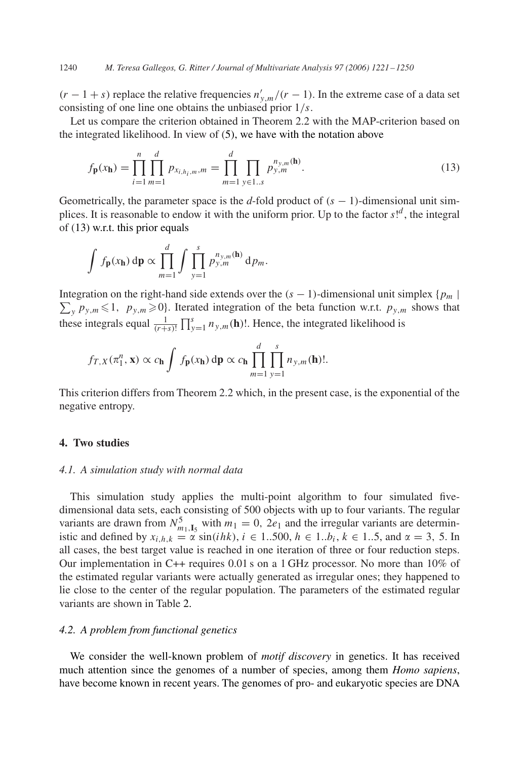<span id="page-19-0"></span> $(r-1+s)$  replace the relative frequencies  $n'_{y,m}/(r-1)$ . In the extreme case of a data set consisting of one line one obtains the unbiased prior 1*/s*.

Let us compare the criterion obtained in Theorem 2.2 with the MAP-criterion based on the integrated likelihood. In view of [\(5\)](#page-7-0), we have with the notation above

$$
f_{\mathbf{p}}(x_{\mathbf{h}}) = \prod_{i=1}^{n} \prod_{m=1}^{d} p_{x_{i,h_i,m},m} = \prod_{m=1}^{d} \prod_{y \in 1...s} p_{y,m}^{n_{y,m}(\mathbf{h})}.
$$
 (13)

Geometrically, the parameter space is the *d*-fold product of  $(s - 1)$ -dimensional unit simplices. It is reasonable to endow it with the uniform prior. Up to the factor *s*! *<sup>d</sup>* , the integral of (13) w.r.t. this prior equals

$$
\int f_{\mathbf{p}}(x_{\mathbf{h}}) \, \mathrm{d} \mathbf{p} \propto \prod_{m=1}^d \int \prod_{y=1}^s p_{y,m}^{n_{y,m}(\mathbf{h})} \, \mathrm{d} p_m.
$$

Integration on the right-hand side extends over the  $(s - 1)$ -dimensional unit simplex  $\{p_m\}$  $\sum_{y} p_{y,m} \leq 1$ ,  $p_{y,m} \geq 0$ . Iterated integration of the beta function w.r.t.  $p_{y,m}$  shows that these integrals equal  $\frac{1}{(r+s)!} \prod_{y=1}^{s} n_{y,m}(\mathbf{h})!$ . Hence, the integrated likelihood is

$$
f_{T,X}(\pi_1^n, \mathbf{x}) \propto c_\mathbf{h} \int f_\mathbf{p}(x_\mathbf{h}) \, d\mathbf{p} \propto c_\mathbf{h} \prod_{m=1}^d \prod_{y=1}^s n_{y,m}(\mathbf{h})!
$$
.

This criterion differs from Theorem 2.2 which, in the present case, is the exponential of the negative entropy.

### **4. Two studies**

#### *4.1. A simulation study with normal data*

This simulation study applies the multi-point algorithm to four simulated fivedimensional data sets, each consisting of 500 objects with up to four variants. The regular variants are drawn from  $N_{m_1,\mathbf{I}_5}^5$  with  $m_1 = 0$ ,  $2e_1$  and the irregular variants are deterministic and defined by  $x_{i,h,k} = \alpha \sin(ihk)$ ,  $i \in 1..500$ ,  $h \in 1..b_i$ ,  $k \in 1..5$ , and  $\alpha = 3, 5.$  In all cases, the best target value is reached in one iteration of three or four reduction steps. Our implementation in C++ requires 0.01 s on a 1 GHz processor. No more than 10% of the estimated regular variants were actually generated as irregular ones; they happened to lie close to the center of the regular population. The parameters of the estimated regular variants are shown in Table [2.](#page-20-0)

#### *4.2. A problem from functional genetics*

We consider the well-known problem of *motif discovery* in genetics. It has received much attention since the genomes of a number of species, among them *Homo sapiens*, have become known in recent years. The genomes of pro- and eukaryotic species are DNA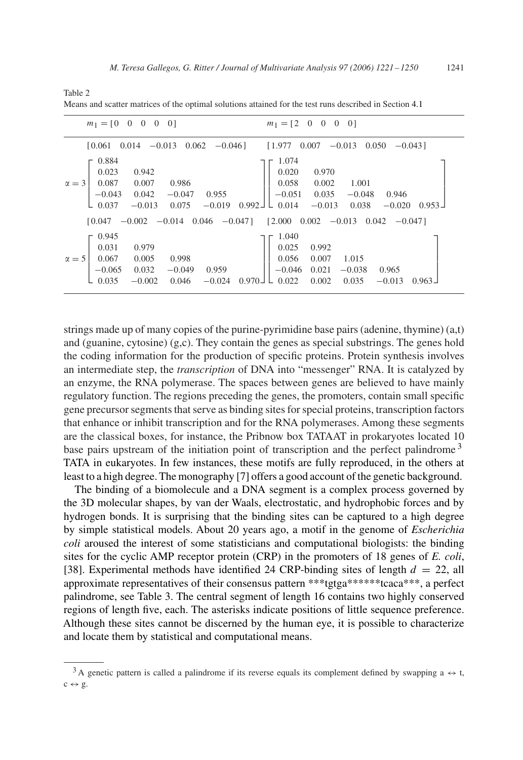<span id="page-20-0"></span>

| Table 2                                                                                                 |  |
|---------------------------------------------------------------------------------------------------------|--|
| Means and scatter matrices of the optimal solutions attained for the test runs described in Section 4.1 |  |

| $m_1 = [0 \ 0 \ 0 \ 0 \ 0]$                                                                                                                                                                                                                                                                                                                                                                                                                                                  | $m_1 = [2 \ 0 \ 0 \ 0 \ 0]$     |  |  |  |  |  |  |  |
|------------------------------------------------------------------------------------------------------------------------------------------------------------------------------------------------------------------------------------------------------------------------------------------------------------------------------------------------------------------------------------------------------------------------------------------------------------------------------|---------------------------------|--|--|--|--|--|--|--|
| $\begin{bmatrix} 0.061 & 0.014 & -0.013 & 0.062 & -0.046 \end{bmatrix}$ $\begin{bmatrix} 1.977 & 0.007 & -0.013 & 0.050 & -0.043 \end{bmatrix}$                                                                                                                                                                                                                                                                                                                              |                                 |  |  |  |  |  |  |  |
| $\alpha = 3 \left[\begin{array}{cccc} 0.884 \\ 0.023 & 0.942 \\ 0.087 & 0.007 & 0.986 \\ -0.043 & 0.042 & -0.047 & 0.955 \\ 0.037 & -0.013 & 0.075 & -0.019 & 0.992 \end{array}\right] \left[\begin{array}{cccc} 1.074 \\ 0.020 & 0.970 \\ 0.058 & 0.002 & 1.001 \\ -0.051 & 0.035 & -0.048 & 0.946 \\ 0.014 & -0.013 & 0$                                                                                                                                                   |                                 |  |  |  |  |  |  |  |
| $\begin{bmatrix} 0.047 & -0.002 & -0.014 & 0.046 & -0.047 \end{bmatrix}$ $\begin{bmatrix} 2.000 & 0.002 & -0.013 & 0.042 & -0.047 \end{bmatrix}$<br>$\alpha = 5 \left[ \begin{array}{cccc} 0.945 \\ 0.031 & 0.979 \\ 0.067 & 0.005 & 0.998 \\ -0.065 & 0.032 & -0.049 & 0.959 \\ 0.035 & -0.002 & 0.046 & -0.024 & 0.970 \end{array} \right] \left[ \begin{array}{cccc} 1.040 \\ 0.025 & 0.992 \\ 0.056 & 0.007 & 1.015 \\ -0.046 & 0.021 & -0.038 & 0.965 \\ 0.022 & 0.002$ | $-0.013$<br>$0.963\,\mathrm{J}$ |  |  |  |  |  |  |  |

strings made up of many copies of the purine-pyrimidine base pairs (adenine, thymine) (a,t) and (guanine, cytosine) (g,c). They contain the genes as special substrings. The genes hold the coding information for the production of specific proteins. Protein synthesis involves an intermediate step, the *transcription* of DNA into "messenger" RNA. It is catalyzed by an enzyme, the RNA polymerase. The spaces between genes are believed to have mainly regulatory function. The regions preceding the genes, the promoters, contain small specific gene precursor segments that serve as binding sites for special proteins, transcription factors that enhance or inhibit transcription and for the RNA polymerases. Among these segments are the classical boxes, for instance, the Pribnow box TATAAT in prokaryotes located 10 base pairs upstream of the initiation point of transcription and the perfect palindrome<sup>3</sup> TATA in eukaryotes. In few instances, these motifs are fully reproduced, in the others at least to a high degree. The monography [\[7\]](#page-28-0) offers a good account of the genetic background.

The binding of a biomolecule and a DNA segment is a complex process governed by the 3D molecular shapes, by van der Waals, electrostatic, and hydrophobic forces and by hydrogen bonds. It is surprising that the binding sites can be captured to a high degree by simple statistical models. About 20 years ago, a motif in the genome of *Escherichia coli* aroused the interest of some statisticians and computational biologists: the binding sites for the cyclic AMP receptor protein (CRP) in the promoters of 18 genes of *E. coli*, [\[38\].](#page-29-0) Experimental methods have identified 24 CRP-binding sites of length *d* = 22, all approximate representatives of their consensus pattern \*\*\*tgtga\*\*\*\*\*\*tcaca\*\*\*, a perfect palindrome, see Table [3.](#page-21-0) The central segment of length 16 contains two highly conserved regions of length five, each. The asterisks indicate positions of little sequence preference. Although these sites cannot be discerned by the human eye, it is possible to characterize and locate them by statistical and computational means.

<sup>&</sup>lt;sup>3</sup> A genetic pattern is called a palindrome if its reverse equals its complement defined by swapping a  $\leftrightarrow$  t,  $c \leftrightarrow g$ .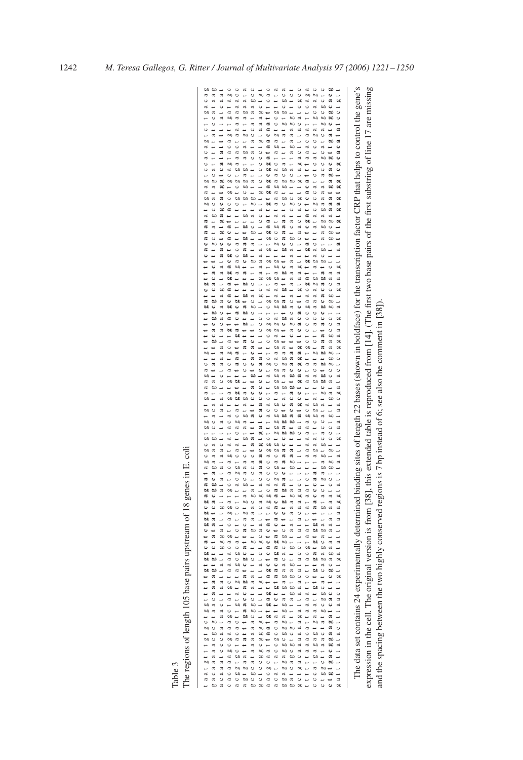The logical production of the second in the search of the search of the search of the search of the search of the search of the search of the search of the search of the search of the search of the search of the search of

<span id="page-21-0"></span>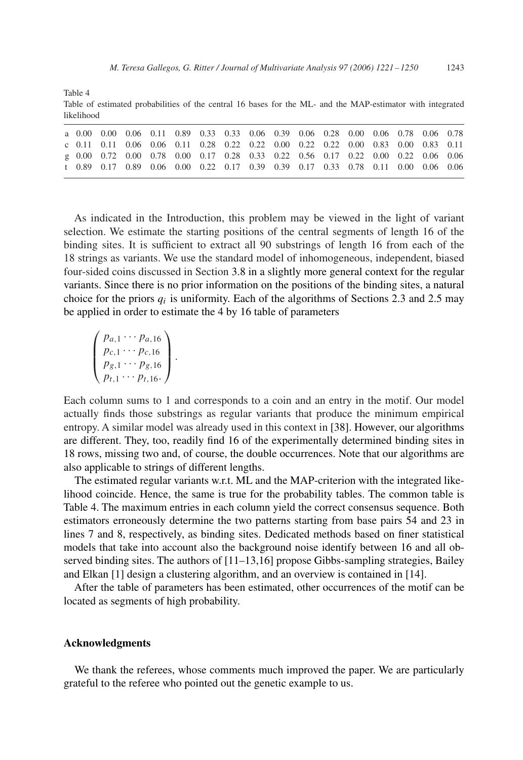Table 4 Table of estimated probabilities of the central 16 bases for the ML- and the MAP-estimator with integrated likelihood

|  |  |  |  |  |  |  | a 0.00 0.00 0.06 0.11 0.89 0.33 0.33 0.06 0.39 0.06 0.28 0.00 0.06 0.78 0.06 0.78 |  |
|--|--|--|--|--|--|--|-----------------------------------------------------------------------------------|--|
|  |  |  |  |  |  |  | c 0.11 0.11 0.06 0.06 0.11 0.28 0.22 0.22 0.00 0.22 0.22 0.00 0.83 0.00 0.83 0.11 |  |
|  |  |  |  |  |  |  | g 0.00 0.72 0.00 0.78 0.00 0.17 0.28 0.33 0.22 0.56 0.17 0.22 0.00 0.22 0.06 0.06 |  |
|  |  |  |  |  |  |  | t 0.89 0.17 0.89 0.06 0.00 0.22 0.17 0.39 0.39 0.17 0.33 0.78 0.11 0.00 0.06 0.06 |  |
|  |  |  |  |  |  |  |                                                                                   |  |

As indicated in the Introduction, this problem may be viewed in the light of variant selection. We estimate the starting positions of the central segments of length 16 of the binding sites. It is sufficient to extract all 90 substrings of length 16 from each of the 18 strings as variants. We use the standard model of inhomogeneous, independent, biased four-sided coins discussed in Section [3.8](#page-18-0) in a slightly more general context for the regular variants. Since there is no prior information on the positions of the binding sites, a natural choice for the priors  $q_i$  is uniformity. Each of the algorithms of Sections [2.3](#page-10-0) and [2.5](#page-11-0) may be applied in order to estimate the 4 by 16 table of parameters

$$
\begin{pmatrix} p_{a,1} \cdots p_{a,16} \\ p_{c,1} \cdots p_{c,16} \\ p_{g,1} \cdots p_{g,16} \\ p_{t,1} \cdots p_{t,16} \end{pmatrix}.
$$

Each column sums to 1 and corresponds to a coin and an entry in the motif. Our model actually finds those substrings as regular variants that produce the minimum empirical entropy. A similar model was already used in this context in [\[38\].](#page-29-0) However, our algorithms are different. They, too, readily find 16 of the experimentally determined binding sites in 18 rows, missing two and, of course, the double occurrences. Note that our algorithms are also applicable to strings of different lengths.

The estimated regular variants w.r.t. ML and the MAP-criterion with the integrated likelihood coincide. Hence, the same is true for the probability tables. The common table is Table 4. The maximum entries in each column yield the correct consensus sequence. Both estimators erroneously determine the two patterns starting from base pairs 54 and 23 in lines 7 and 8, respectively, as binding sites. Dedicated methods based on finer statistical models that take into account also the background noise identify between 16 and all observed binding sites. The authors of [\[11–13,](#page-28-0)[16\]](#page-29-0) propose Gibbs-sampling strategies, Bailey and Elkan [\[1\]](#page-28-0) design a clustering algorithm, and an overview is contained in [\[14\].](#page-28-0)

After the table of parameters has been estimated, other occurrences of the motif can be located as segments of high probability.

#### **Acknowledgments**

We thank the referees, whose comments much improved the paper. We are particularly grateful to the referee who pointed out the genetic example to us.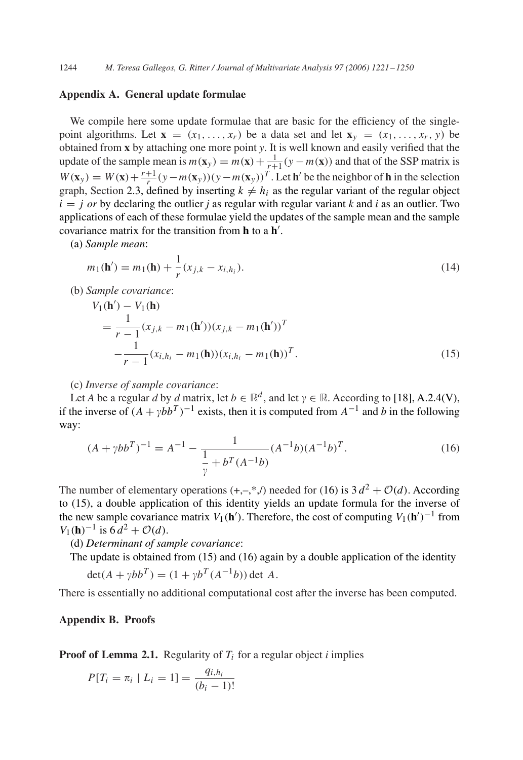## <span id="page-23-0"></span>**Appendix A. General update formulae**

We compile here some update formulae that are basic for the efficiency of the singlepoint algorithms. Let  $\mathbf{x} = (x_1, \ldots, x_r)$  be a data set and let  $\mathbf{x}_y = (x_1, \ldots, x_r, y)$  be obtained from **x** by attaching one more point *y*. It is well known and easily verified that the update of the sample mean is  $m(\mathbf{x}_y) = m(\mathbf{x}) + \frac{1}{r+1} (y - m(\mathbf{x}))$  and that of the SSP matrix is  $W(\mathbf{x}_y) = W(\mathbf{x}) + \frac{r+1}{r}(y-m(\mathbf{x}_y))(y-m(\mathbf{x}_y))^T$ . Let **h**' be the neighbor of **h** in the selection graph, Section [2.3,](#page-10-0) defined by inserting  $k \neq h_i$  as the regular variant of the regular object  $i = j$  *or* by declaring the outlier *j* as regular with regular variant *k* and *i* as an outlier. Two applications of each of these formulae yield the updates of the sample mean and the sample covariance matrix for the transition from **h** to a **h** .

(a) *Sample mean*:

$$
m_1(\mathbf{h}') = m_1(\mathbf{h}) + \frac{1}{r}(x_{j,k} - x_{i,h_i}).
$$
\n(14)

(b) *Sample covariance*:

$$
V_1(\mathbf{h}') - V_1(\mathbf{h})
$$
  
=  $\frac{1}{r-1} (x_{j,k} - m_1(\mathbf{h}')) (x_{j,k} - m_1(\mathbf{h}'))^T$   
 $-\frac{1}{r-1} (x_{i,h_i} - m_1(\mathbf{h})) (x_{i,h_i} - m_1(\mathbf{h}))^T.$  (15)

#### (c) *Inverse of sample covariance*:

Let *A* be a regular *d* by *d* matrix, let  $b \in \mathbb{R}^d$ , and let  $\gamma \in \mathbb{R}$ . According to [\[18\],](#page-29-0) A.2.4(V), if the inverse of  $(A + \gamma bb^T)^{-1}$  exists, then it is computed from  $A^{-1}$  and *b* in the following way:

$$
(A + \gamma bb^T)^{-1} = A^{-1} - \frac{1}{\frac{1}{\gamma} + b^T (A^{-1}b)} (A^{-1}b)(A^{-1}b)^T.
$$
 (16)

The number of elementary operations  $(+,-,*,')$  needed for (16) is  $3 d^2 + \mathcal{O}(d)$ . According to (15), a double application of this identity yields an update formula for the inverse of the new sample covariance matrix *V*<sub>1</sub>(**h**<sup>'</sup>). Therefore, the cost of computing *V*<sub>1</sub>(**h**<sup>'</sup>)<sup>-1</sup> from *V*<sub>1</sub>(**h**)<sup>−1</sup> is  $6d^2 + O(d)$ .

(d) *Determinant of sample covariance*:

The update is obtained from  $(15)$  and  $(16)$  again by a double application of the identity

$$
\det(A + \gamma bb^T) = (1 + \gamma b^T (A^{-1}b)) \det A.
$$

There is essentially no additional computational cost after the inverse has been computed.

## **Appendix B. Proofs**

**Proof of Lemma 2.1.** Regularity of  $T_i$  for a regular object *i* implies

$$
P[T_i = \pi_i \mid L_i = 1] = \frac{q_{i,h_i}}{(b_i - 1)!}
$$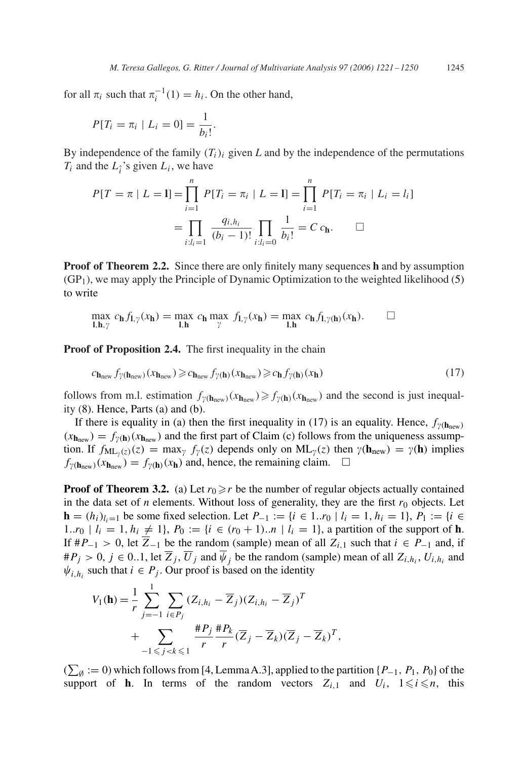<span id="page-24-0"></span>for all  $\pi_i$  such that  $\pi_i^{-1}(1) = h_i$ . On the other hand,

$$
P[T_i = \pi_i \mid L_i = 0] = \frac{1}{b_i!}.
$$

By independence of the family  $(T_i)_i$  given *L* and by the independence of the permutations  $T_i$  and the  $L_i$ 's given  $L_i$ , we have

$$
P[T = \pi | L = I] = \prod_{i=1}^{n} P[T_i = \pi_i | L = I] = \prod_{i=1}^{n} P[T_i = \pi_i | L_i = l_i]
$$

$$
= \prod_{i:l_i=1} \frac{q_{i,h_i}}{(b_i - 1)!} \prod_{i:l_i=0} \frac{1}{b_i!} = C c_{\mathbf{h}}.
$$

**Proof of Theorem 2.2.** Since there are only finitely many sequences **h** and by assumption  $(GP_1)$ , we may apply the Principle of Dynamic Optimization to the weighted likelihood [\(5\)](#page-7-0) to write

$$
\max_{\mathbf{l},\mathbf{h},\gamma} c_{\mathbf{h}} f_{\mathbf{l},\gamma}(x_{\mathbf{h}}) = \max_{\mathbf{l},\mathbf{h}} c_{\mathbf{h}} \max_{\gamma} f_{\mathbf{l},\gamma}(x_{\mathbf{h}}) = \max_{\mathbf{l},\mathbf{h}} c_{\mathbf{h}} f_{\mathbf{l},\gamma(\mathbf{h})}(x_{\mathbf{h}}).
$$

**Proof of Proposition 2.4.** The first inequality in the chain

$$
c_{\mathbf{h}_{\text{new}}} f_{\gamma(\mathbf{h}_{\text{new}})}(x_{\mathbf{h}_{\text{new}}}) \geqslant c_{\mathbf{h}_{\text{new}}} f_{\gamma(\mathbf{h})}(x_{\mathbf{h}_{\text{new}}}) \geqslant c_{\mathbf{h}} f_{\gamma(\mathbf{h})}(x_{\mathbf{h}}) \tag{17}
$$

follows from m.l. estimation  $f_{\gamma(h_{new}})(x_{h_{new}}) \ge f_{\gamma(h)}(x_{h_{new}})$  and the second is just inequality [\(8\)](#page-10-0). Hence, Parts (a) and (b).

If there is equality in (a) then the first inequality in (17) is an equality. Hence,  $f_{\gamma(\mathbf{h}_{new})}$  $(x_{h_{new}}) = f_{\gamma(h)}(x_{h_{new}})$  and the first part of Claim (c) follows from the uniqueness assumption. If  $f_{ML_{\gamma}(z)}(z) = \max_{\gamma} f_{\gamma}(z)$  depends only on  $ML_{\gamma}(z)$  then  $\gamma(\mathbf{h}_{new}) = \gamma(\mathbf{h})$  implies  $f_{\gamma(\mathbf{h}_{\text{new}})}(x_{\mathbf{h}_{\text{new}}}) = f_{\gamma(\mathbf{h})}(x_{\mathbf{h}})$  and, hence, the remaining claim.  $\square$ 

**Proof of Theorem 3.2.** (a) Let  $r_0 \geq r$  be the number of regular objects actually contained in the data set of *n* elements. Without loss of generality, they are the first  $r_0$  objects. Let **h** =  $(h_i)_{i_i=1}$  be some fixed selection. Let  $P_{-1} := \{i \in 1..r_0 \mid l_i = 1, h_i = 1\}, P_1 := \{i \in 1..r_i\}$  $1..r_0 | l_i = 1, h_i \neq 1$ ,  $P_0 := {i \in (r_0 + 1)..n | l_i = 1}$ , a partition of the support of **h**. If  $#P_{-1} > 0$ , let  $\overline{Z}_{-1}$  be the random (sample) mean of all  $Z_{i,1}$  such that  $i \in P_{-1}$  and, if  $#P_j > 0$ ,  $j \in 0.1$ , let  $\overline{Z}_j$ ,  $\overline{U}_j$  and  $\overline{\psi}_j$  be the random (sample) mean of all  $Z_{i,h_j}$ ,  $U_{i,h_i}$  and  $\psi_{i,h_i}$  such that  $i \in P_i$ . Our proof is based on the identity

$$
V_1(\mathbf{h}) = \frac{1}{r} \sum_{j=-1}^{1} \sum_{i \in P_j} (Z_{i,h_i} - \overline{Z}_j)(Z_{i,h_i} - \overline{Z}_j)^T + \sum_{-1 \le j < k \le 1} \frac{\#P_j}{r} \frac{\#P_k}{r} (\overline{Z}_j - \overline{Z}_k)(\overline{Z}_j - \overline{Z}_k)^T,
$$

( <sup>∅</sup> := 0) which follows from [\[4, Lemma A.3\],](#page-28-0) applied to the partition {*P*−1*, P*1*, P*0} of the support of **h**. In terms of the random vectors  $Z_{i,1}$  and  $U_i$ ,  $1 \leq i \leq n$ , this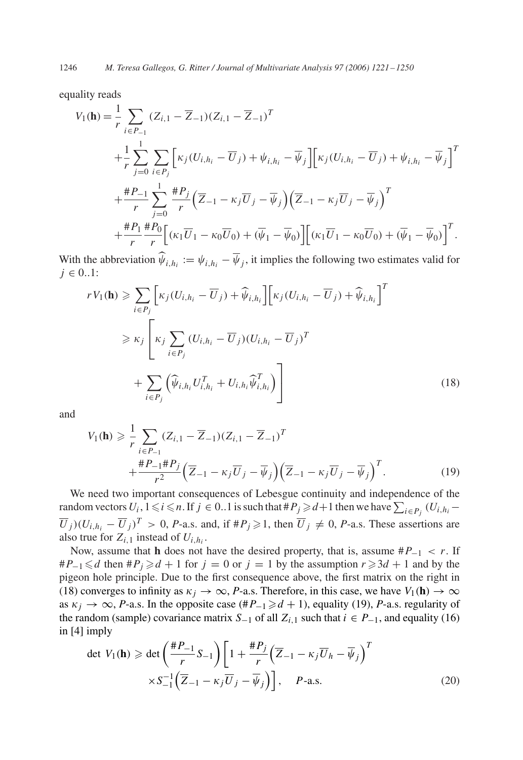equality reads

$$
V_{1}(\mathbf{h}) = \frac{1}{r} \sum_{i \in P_{-1}} (Z_{i,1} - \overline{Z}_{-1})(Z_{i,1} - \overline{Z}_{-1})^{T}
$$
  
+ 
$$
\frac{1}{r} \sum_{j=0}^{1} \sum_{i \in P_{j}} \left[ \kappa_{j} (U_{i,h_{i}} - \overline{U}_{j}) + \psi_{i,h_{i}} - \overline{\psi}_{j} \right] \left[ \kappa_{j} (U_{i,h_{i}} - \overline{U}_{j}) + \psi_{i,h_{i}} - \overline{\psi}_{j} \right]^{T}
$$
  
+ 
$$
\frac{\#P_{-1}}{r} \sum_{j=0}^{1} \frac{\#P_{j}}{r} \left( \overline{Z}_{-1} - \kappa_{j} \overline{U}_{j} - \overline{\psi}_{j} \right) \left( \overline{Z}_{-1} - \kappa_{j} \overline{U}_{j} - \overline{\psi}_{j} \right)^{T}
$$
  
+ 
$$
\frac{\#P_{1}}{r} \frac{\#P_{0}}{r} \left[ (\kappa_{1} \overline{U}_{1} - \kappa_{0} \overline{U}_{0}) + (\overline{\psi}_{1} - \overline{\psi}_{0}) \right] \left[ (\kappa_{1} \overline{U}_{1} - \kappa_{0} \overline{U}_{0}) + (\overline{\psi}_{1} - \overline{\psi}_{0}) \right]^{T}.
$$

With the abbreviation  $\psi_{i,h_i} := \psi_{i,h_i} - \psi_i$ , it implies the following two estimates valid for  $j \in 0..1$ :

$$
rV_{1}(\mathbf{h}) \geqslant \sum_{i \in P_{j}} \left[ \kappa_{j} (U_{i,h_{i}} - \overline{U}_{j}) + \widehat{\psi}_{i,h_{i}} \right] \left[ \kappa_{j} (U_{i,h_{i}} - \overline{U}_{j}) + \widehat{\psi}_{i,h_{i}} \right]^{T}
$$
  

$$
\geqslant \kappa_{j} \left[ \kappa_{j} \sum_{i \in P_{j}} (U_{i,h_{i}} - \overline{U}_{j}) (U_{i,h_{i}} - \overline{U}_{j})^{T} + \sum_{i \in P_{j}} \left( \widehat{\psi}_{i,h_{i}} U_{i,h_{i}}^{T} + U_{i,h_{i}} \widehat{\psi}_{i,h_{i}}^{T} \right) \right]
$$
(18)

and

$$
V_{1}(\mathbf{h}) \geqslant \frac{1}{r} \sum_{i \in P_{-1}} (Z_{i,1} - \overline{Z}_{-1})(Z_{i,1} - \overline{Z}_{-1})^{T}
$$
  
+ 
$$
\frac{\#P_{-1} \#P_{j}}{r^{2}} \Big(\overline{Z}_{-1} - \kappa_{j} \overline{U}_{j} - \overline{\psi}_{j}\Big) \Big(\overline{Z}_{-1} - \kappa_{j} \overline{U}_{j} - \overline{\psi}_{j}\Big)^{T}.
$$
 (19)

We need two important consequences of Lebesgue continuity and independence of the random vectors  $U_i$ ,  $1 \leq i \leq n$ . If  $j \in 0$ . 1 is such that  $\#P_j \geq d+1$  then we have  $\sum_{i \in P_j} (U_{i,h_i} \overline{U}_j$ )( $U_{i,h_i} - \overline{U}_j$ )<sup>*T*</sup> > 0, *P*-a.s. and, if  $#P_j \ge 1$ , then  $\overline{U}_j \ne 0$ , *P*-a.s. These assertions are also true for  $Z_{i,1}$  instead of  $U_{i,h_i}$ .

Now, assume that **h** does not have the desired property, that is, assume  $#P_{-1} < r$ . If  $#P_{-1}$  ≤ *d* then  $#P_j$  ≥ *d* + 1 for *j* = 0 or *j* = 1 by the assumption *r* ≥ 3*d* + 1 and by the pigeon hole principle. Due to the first consequence above, the first matrix on the right in [\(18\)](#page-24-0) converges to infinity as  $\kappa_j \to \infty$ , *P*-a.s. Therefore, in this case, we have  $V_1(\mathbf{h}) \to \infty$ as  $\kappa_i \to \infty$ , *P*-a.s. In the opposite case (#*P*<sub>−1</sub> $\ge d$  + 1), equality [\(19\)](#page-24-0), *P*-a.s. regularity of the random (sample) covariance matrix  $S_{-1}$  of all  $Z_{i,1}$  such that  $i \in P_{-1}$ , and equality (16) in [\[4\]](#page-28-0) imply

$$
\det V_1(\mathbf{h}) \ge \det \left( \frac{\#P_{-1}}{r} S_{-1} \right) \left[ 1 + \frac{\#P_j}{r} \left( \overline{Z}_{-1} - \kappa_j \overline{U}_h - \overline{\psi}_j \right)^T \right. \\ \times S_{-1}^{-1} \left( \overline{Z}_{-1} - \kappa_j \overline{U}_j - \overline{\psi}_j \right) \right], \quad P\text{-a.s.}
$$
 (20)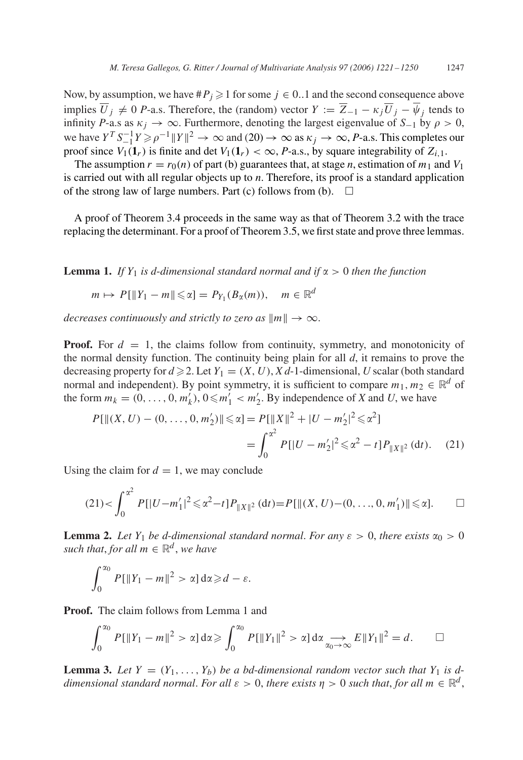<span id="page-26-0"></span>Now, by assumption, we have  $\#P_j \geq 1$  for some  $j \in 0.1$  and the second consequence above implies  $\overline{U}_i \neq 0$  *P*-a.s. Therefore, the (random) vector  $Y := \overline{Z}_{-1} - \kappa_i \overline{U}_i - \overline{\psi}_i$  tends to infinity *P*-a.s as  $\kappa_j \to \infty$ . Furthermore, denoting the largest eigenvalue of *S*<sub>−1</sub> by  $\rho > 0$ , we have  $Y^T S_{-1}^{-1} Y \geq \rho^{-1} ||Y||^2 \to \infty$  and  $(20) \to \infty$  $(20) \to \infty$  as  $\kappa_j \to \infty$ , *P*-a.s. This completes our proof since  $V_1(\mathbf{1}_r)$  is finite and det  $V_1(\mathbf{1}_r) < \infty$ , *P*-a.s., by square integrability of  $Z_{i,1}$ .

The assumption  $r = r_0(n)$  of part (b) guarantees that, at stage *n*, estimation of  $m_1$  and  $V_1$ is carried out with all regular objects up to *n*. Therefore, its proof is a standard application of the strong law of large numbers. Part (c) follows from (b).  $\Box$ 

A proof of Theorem 3.4 proceeds in the same way as that of Theorem 3.2 with the trace replacing the determinant. For a proof of Theorem 3.5, we first state and prove three lemmas.

**Lemma 1.** If  $Y_1$  is d-dimensional standard normal and if  $\alpha > 0$  then the function

$$
m \mapsto P[\|Y_1 - m\| \leq \alpha] = P_{Y_1}(B_{\alpha}(m)), \quad m \in \mathbb{R}^d
$$

*decreases continuously and strictly to zero as*  $\|m\| \to \infty$ .

**Proof.** For  $d = 1$ , the claims follow from continuity, symmetry, and monotonicity of the normal density function. The continuity being plain for all *d*, it remains to prove the decreasing property for  $d \ge 2$ . Let  $Y_1 = (X, U), X d$ -1-dimensional, *U* scalar (both standard normal and independent). By point symmetry, it is sufficient to compare  $m_1, m_2 \in \mathbb{R}^d$  of the form  $m_k = (0, \ldots, 0, m'_k)$ ,  $0 \le m'_1 < m'_2$ . By independence of *X* and *U*, we have

$$
P[\|(X, U) - (0, \dots, 0, m_2')\| \le \alpha] = P[\|X\|^2 + |U - m_2'|^2 \le \alpha^2]
$$
  
= 
$$
\int_0^{\alpha^2} P[|U - m_2'|^2 \le \alpha^2 - t] P_{\|X\|^2} (\mathrm{d}t). \tag{21}
$$

Using the claim for  $d = 1$ , we may conclude

$$
(21) < \int_0^{\alpha^2} P[|U - m_1'|^2 \le \alpha^2 - t] P_{\|X\|^2}(\mathrm{d}t) = P[\|(X, U) - (0, \dots, 0, m_1')\| \le \alpha]. \qquad \Box
$$

**Lemma 2.** Let  $Y_1$  be d-dimensional standard normal. For any  $\varepsilon > 0$ , there exists  $\alpha_0 > 0$ *such that, for all*  $m \in \mathbb{R}^d$ *, we have* 

$$
\int_0^{\alpha_0} P[\|Y_1 - m\|^2 > \alpha] \, \mathrm{d}\alpha \geq d - \varepsilon.
$$

**Proof.** The claim follows from Lemma 1 and

$$
\int_0^{\alpha_0} P[\|Y_1 - m\|^2 > \alpha] d\alpha \geqslant \int_0^{\alpha_0} P[\|Y_1\|^2 > \alpha] d\alpha \xrightarrow[\alpha_0 \to \infty]{} E\|Y_1\|^2 = d. \qquad \Box
$$

**Lemma 3.** Let  $Y = (Y_1, \ldots, Y_b)$  be a bd-dimensional random vector such that  $Y_1$  is d $d$ imensional standard normal. For all  $\varepsilon > 0$ , there exists  $\eta > 0$  such that, for all  $m \in \mathbb{R}^d$ ,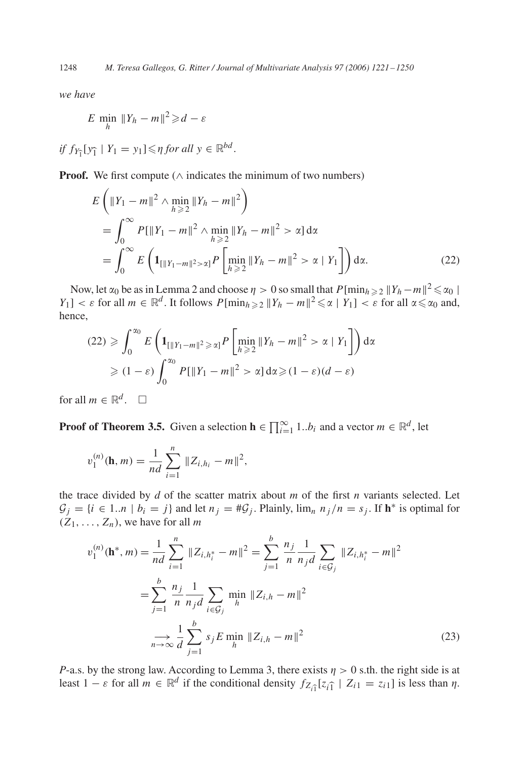*we have*

$$
E \min_{h} \|Y_h - m\|^2 \geq d - \varepsilon
$$

$$
\text{if } f_{Y_{\widehat{1}}}[y_{\widehat{1}} \mid Y_1 = y_1] \leq \eta \text{ for all } y \in \mathbb{R}^{bd}.
$$

**Proof.** We first compute ( $\land$  indicates the minimum of two numbers)

$$
E\left(\|Y_1 - m\|^2 \wedge \min_{h \geq 2} \|Y_h - m\|^2\right) = \int_0^\infty P[\|Y_1 - m\|^2 \wedge \min_{h \geq 2} \|Y_h - m\|^2 > \alpha] d\alpha = \int_0^\infty E\left(\mathbf{1}_{\{\|Y_1 - m\|^2 > \alpha\}} P\left[\min_{h \geq 2} \|Y_h - m\|^2 > \alpha |Y_1\right]\right) d\alpha.
$$
 (22)

Now, let  $\alpha_0$  be as in Lemma 2 and choose  $\eta > 0$  so small that  $P[\min_{h \geq 2} ||Y_h - m||^2 \leq \alpha_0$  $Y_1$ ]  $\lt$  *ε* for all  $m \in \mathbb{R}^d$ . It follows  $P[\min_{h \geq 2} ||Y_h - m||^2 \leq \alpha | Y_1] \lt \varepsilon$  for all  $\alpha \leq \alpha_0$  and, hence,

$$
(22) \geqslant \int_0^{\alpha_0} E\left(\mathbf{1}_{\{\|Y_1 - m\|^2 \geqslant \alpha\}} P\left[\min_{h \geqslant 2} \|Y_h - m\|^2 > \alpha \mid Y_1\right]\right) d\alpha
$$
\n
$$
\geqslant (1 - \varepsilon) \int_0^{\alpha_0} P[\|Y_1 - m\|^2 > \alpha] d\alpha \geqslant (1 - \varepsilon)(d - \varepsilon)
$$

for all  $m \in \mathbb{R}^d$ .  $\square$ 

**Proof of Theorem 3.5.** Given a selection  $\mathbf{h} \in \prod_{i=1}^{\infty} 1..b_i$  and a vector  $m \in \mathbb{R}^d$ , let

$$
v_1^{(n)}(\mathbf{h}, m) = \frac{1}{nd} \sum_{i=1}^n \|Z_{i,h_i} - m\|^2,
$$

the trace divided by  $d$  of the scatter matrix about  $m$  of the first  $n$  variants selected. Let  $G_j = \{i \in 1..n \mid b_i = j\}$  and let  $n_j = \#\mathcal{G}_j$ . Plainly,  $\lim_{n \to \infty} \frac{n_j}{n} = s_j$ . If  $\mathbf{h}^*$  is optimal for  $(Z_1, \ldots, Z_n)$ , we have for all *m* 

$$
v_1^{(n)}(\mathbf{h}^*, m) = \frac{1}{nd} \sum_{i=1}^n \|Z_{i,h_i^*} - m\|^2 = \sum_{j=1}^b \frac{n_j}{n} \frac{1}{n_j d} \sum_{i \in \mathcal{G}_j} \|Z_{i,h_i^*} - m\|^2
$$
  

$$
= \sum_{j=1}^b \frac{n_j}{n} \frac{1}{n_j d} \sum_{i \in \mathcal{G}_j} \min_{h} \|Z_{i,h} - m\|^2
$$
  

$$
\implies \frac{1}{n} \sum_{j=1}^b s_j E \min_{h} \|Z_{i,h} - m\|^2
$$
 (23)

*P*-a.s. by the strong law. According to Lemma 3, there exists  $\eta > 0$  s.th. the right side is at least  $1 - \varepsilon$  for all  $m \in \mathbb{R}^d$  if the conditional density  $f_{Z_{i\hat{1}}} [z_{i\hat{1}} | Z_{i1} = z_{i1}]$  is less than  $\eta$ .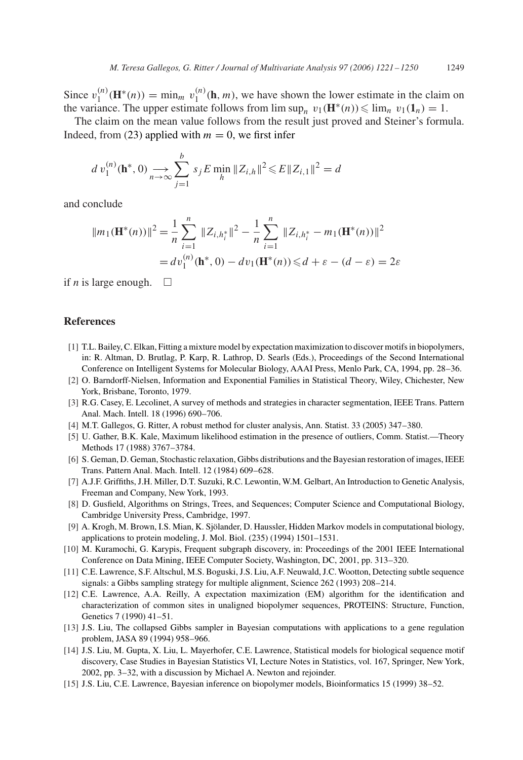<span id="page-28-0"></span>Since  $v_1^{(n)}(\mathbf{H}^*(n)) = \min_m v_1^{(n)}(\mathbf{h}, m)$ , we have shown the lower estimate in the claim on the variance. The upper estimate follows from  $\limsup_n v_1(\mathbf{H}^*(n)) \leq \lim_n v_1(\mathbf{1}_n) = 1$ .

The claim on the mean value follows from the result just proved and Steiner's formula. Indeed, from [\(23\)](#page-26-0) applied with  $m = 0$ , we first infer

$$
d\,v_1^{(n)}(\mathbf{h}^*,0) \underset{n\to\infty}{\longrightarrow} \sum_{j=1}^b s_j E \min_h \|Z_{i,h}\|^2 \leq E \|Z_{i,1}\|^2 = d
$$

and conclude

$$
||m_1(\mathbf{H}^*(n))||^2 = \frac{1}{n} \sum_{i=1}^n ||Z_{i,h_i^*}||^2 - \frac{1}{n} \sum_{i=1}^n ||Z_{i,h_i^*} - m_1(\mathbf{H}^*(n))||^2
$$
  
=  $dv_1^{(n)}(\mathbf{h}^*, 0) - dv_1(\mathbf{H}^*(n)) \le d + \varepsilon - (d - \varepsilon) = 2\varepsilon$ 

if *n* is large enough.  $\Box$ 

#### **References**

- [1] T.L. Bailey, C. Elkan, Fitting a mixture model by expectation maximization to discover motifs in biopolymers, in: R. Altman, D. Brutlag, P. Karp, R. Lathrop, D. Searls (Eds.), Proceedings of the Second International Conference on Intelligent Systems for Molecular Biology, AAAI Press, Menlo Park, CA, 1994, pp. 28–36.
- [2] O. Barndorff-Nielsen, Information and Exponential Families in Statistical Theory, Wiley, Chichester, New York, Brisbane, Toronto, 1979.
- [3] R.G. Casey, E. Lecolinet, A survey of methods and strategies in character segmentation, IEEE Trans. Pattern Anal. Mach. Intell. 18 (1996) 690–706.
- [4] M.T. Gallegos, G. Ritter, A robust method for cluster analysis, Ann. Statist. 33 (2005) 347–380.
- [5] U. Gather, B.K. Kale, Maximum likelihood estimation in the presence of outliers, Comm. Statist.—Theory Methods 17 (1988) 3767–3784.
- [6] S. Geman, D. Geman, Stochastic relaxation, Gibbs distributions and the Bayesian restoration of images, IEEE Trans. Pattern Anal. Mach. Intell. 12 (1984) 609–628.
- [7] A.J.F. Griffiths, J.H. Miller, D.T. Suzuki, R.C. Lewontin, W.M. Gelbart, An Introduction to Genetic Analysis, Freeman and Company, New York, 1993.
- [8] D. Gusfield, Algorithms on Strings, Trees, and Sequences; Computer Science and Computational Biology, Cambridge University Press, Cambridge, 1997.
- [9] A. Krogh, M. Brown, I.S. Mian, K. Sjölander, D. Haussler, Hidden Markov models in computational biology, applications to protein modeling, J. Mol. Biol. (235) (1994) 1501–1531.
- [10] M. Kuramochi, G. Karypis, Frequent subgraph discovery, in: Proceedings of the 2001 IEEE International Conference on Data Mining, IEEE Computer Society, Washington, DC, 2001, pp. 313–320.
- [11] C.E. Lawrence, S.F. Altschul, M.S. Boguski, J.S. Liu, A.F. Neuwald, J.C. Wootton, Detecting subtle sequence signals: a Gibbs sampling strategy for multiple alignment, Science 262 (1993) 208–214.
- [12] C.E. Lawrence, A.A. Reilly, A expectation maximization (EM) algorithm for the identification and characterization of common sites in unaligned biopolymer sequences, PROTEINS: Structure, Function, Genetics 7 (1990) 41–51.
- [13] J.S. Liu, The collapsed Gibbs sampler in Bayesian computations with applications to a gene regulation problem, JASA 89 (1994) 958–966.
- [14] J.S. Liu, M. Gupta, X. Liu, L. Mayerhofer, C.E. Lawrence, Statistical models for biological sequence motif discovery, Case Studies in Bayesian Statistics VI, Lecture Notes in Statistics, vol. 167, Springer, New York, 2002, pp. 3–32, with a discussion by Michael A. Newton and rejoinder.
- [15] J.S. Liu, C.E. Lawrence, Bayesian inference on biopolymer models, Bioinformatics 15 (1999) 38–52.